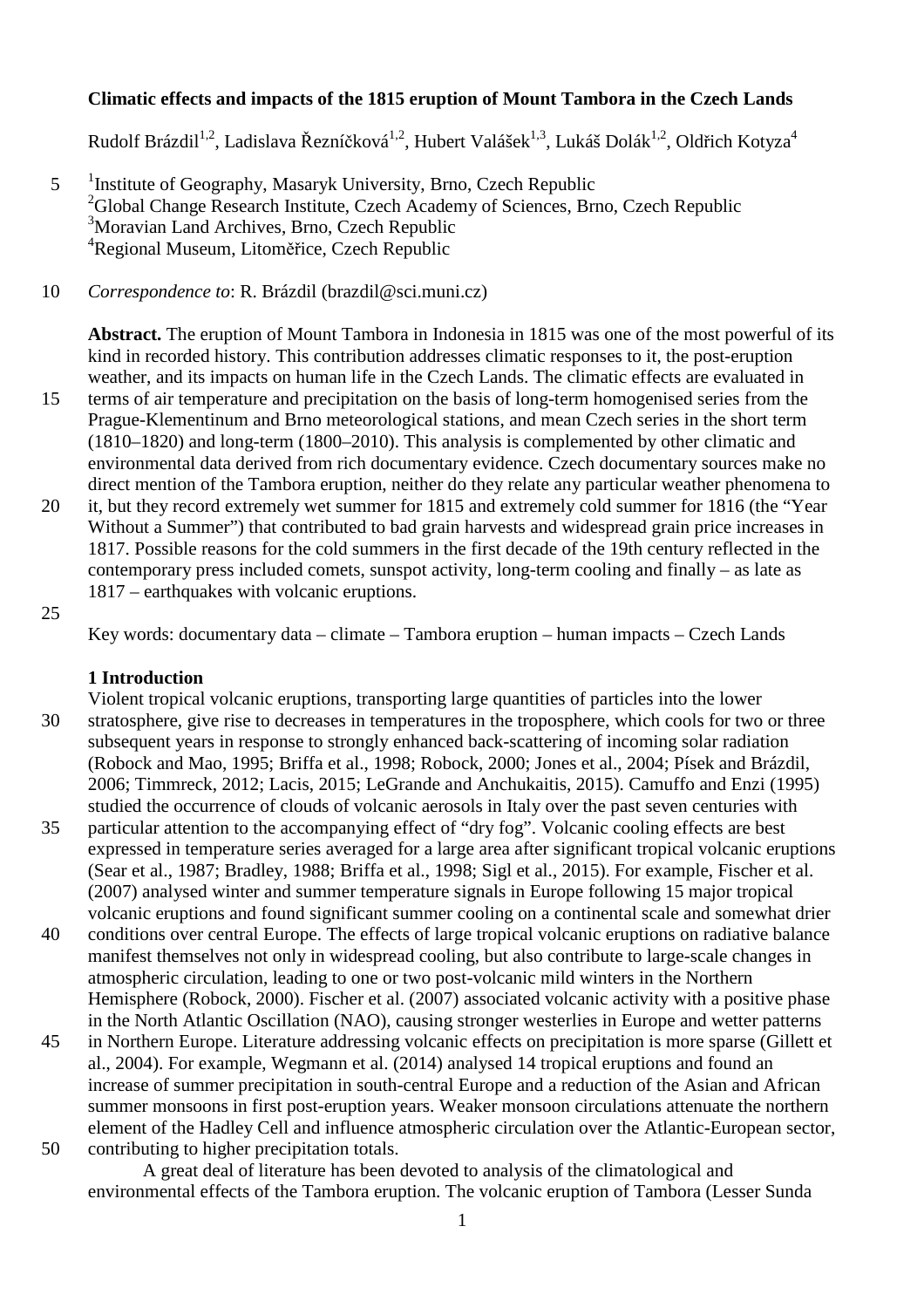## **Climatic effects and impacts of the 1815 eruption of Mount Tambora in the Czech Lands**

Rudolf Brázdil<sup>1,2</sup>, Ladislava Řezníčková<sup>1,2</sup>, Hubert Valášek<sup>1,3</sup>, Lukáš Dolák<sup>1,2</sup>, Oldřich Kotyza<sup>4</sup>

- <sup>1</sup> Institute of Geography, Masaryk University, Brno, Czech Republic <sup>2</sup>Global Change Research Institute, Czech Academy of Sciences, Brno, Czech Republic <sup>3</sup>Moravian Land Archives, Brno, Czech Republic <sup>4</sup>Regional Museum, Litoměřice, Czech Republic
- 10 *Correspondence to*: R. Brázdil (brazdil@sci.muni.cz)

**Abstract.** The eruption of Mount Tambora in Indonesia in 1815 was one of the most powerful of its kind in recorded history. This contribution addresses climatic responses to it, the post-eruption weather, and its impacts on human life in the Czech Lands. The climatic effects are evaluated in

- 15 terms of air temperature and precipitation on the basis of long-term homogenised series from the Prague-Klementinum and Brno meteorological stations, and mean Czech series in the short term (1810–1820) and long-term (1800–2010). This analysis is complemented by other climatic and environmental data derived from rich documentary evidence. Czech documentary sources make no direct mention of the Tambora eruption, neither do they relate any particular weather phenomena to
- 20 it, but they record extremely wet summer for 1815 and extremely cold summer for 1816 (the "Year Without a Summer") that contributed to bad grain harvests and widespread grain price increases in 1817. Possible reasons for the cold summers in the first decade of the 19th century reflected in the contemporary press included comets, sunspot activity, long-term cooling and finally – as late as 1817 – earthquakes with volcanic eruptions.
- 25

Key words: documentary data – climate – Tambora eruption – human impacts – Czech Lands

#### **1 Introduction**

- Violent tropical volcanic eruptions, transporting large quantities of particles into the lower 30 stratosphere, give rise to decreases in temperatures in the troposphere, which cools for two or three subsequent years in response to strongly enhanced back-scattering of incoming solar radiation (Robock and Mao, 1995; Briffa et al., 1998; Robock, 2000; Jones et al., 2004; Písek and Brázdil, 2006; Timmreck, 2012; Lacis, 2015; LeGrande and Anchukaitis, 2015). Camuffo and Enzi (1995) studied the occurrence of clouds of volcanic aerosols in Italy over the past seven centuries with
- 35 particular attention to the accompanying effect of "dry fog". Volcanic cooling effects are best expressed in temperature series averaged for a large area after significant tropical volcanic eruptions (Sear et al., 1987; Bradley, 1988; Briffa et al., 1998; Sigl et al., 2015). For example, Fischer et al. (2007) analysed winter and summer temperature signals in Europe following 15 major tropical volcanic eruptions and found significant summer cooling on a continental scale and somewhat drier
- 40 conditions over central Europe. The effects of large tropical volcanic eruptions on radiative balance manifest themselves not only in widespread cooling, but also contribute to large-scale changes in atmospheric circulation, leading to one or two post-volcanic mild winters in the Northern Hemisphere (Robock, 2000). Fischer et al. (2007) associated volcanic activity with a positive phase in the North Atlantic Oscillation (NAO), causing stronger westerlies in Europe and wetter patterns
- 45 in Northern Europe. Literature addressing volcanic effects on precipitation is more sparse (Gillett et al., 2004). For example, Wegmann et al. (2014) analysed 14 tropical eruptions and found an increase of summer precipitation in south-central Europe and a reduction of the Asian and African summer monsoons in first post-eruption years. Weaker monsoon circulations attenuate the northern element of the Hadley Cell and influence atmospheric circulation over the Atlantic-European sector, 50 contributing to higher precipitation totals.
	- A great deal of literature has been devoted to analysis of the climatological and environmental effects of the Tambora eruption. The volcanic eruption of Tambora (Lesser Sunda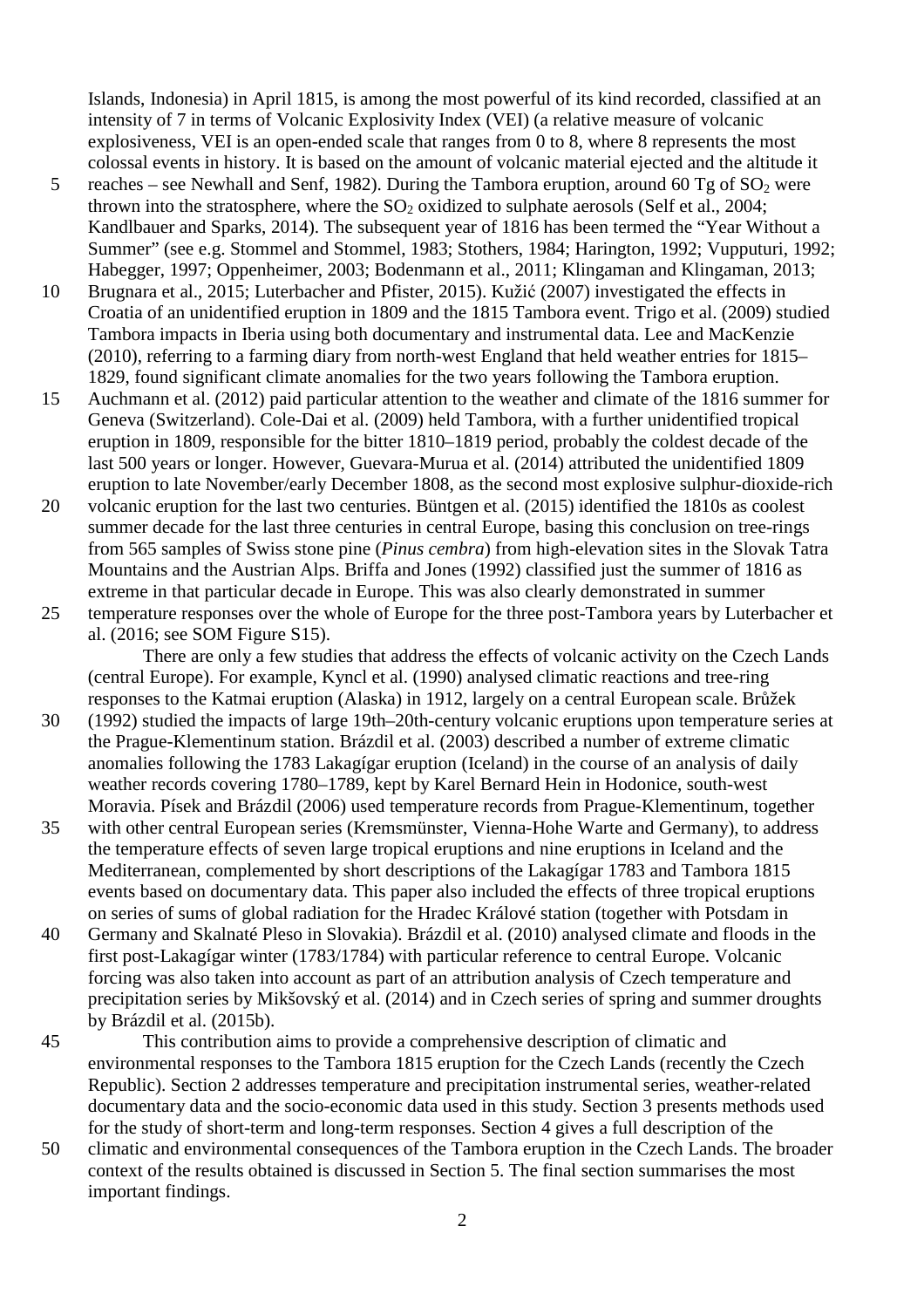Islands, Indonesia) in April 1815, is among the most powerful of its kind recorded, classified at an intensity of 7 in terms of Volcanic Explosivity Index (VEI) (a relative measure of volcanic explosiveness, VEI is an open-ended scale that ranges from 0 to 8, where 8 represents the most colossal events in history. It is based on the amount of volcanic material ejected and the altitude it

- 5 reaches see Newhall and Senf, 1982). During the Tambora eruption, around 60 Tg of  $SO_2$  were thrown into the stratosphere, where the  $SO<sub>2</sub>$  oxidized to sulphate aerosols (Self et al., 2004; Kandlbauer and Sparks, 2014). The subsequent year of 1816 has been termed the "Year Without a Summer" (see e.g. Stommel and Stommel, 1983; Stothers, 1984; Harington, 1992; Vupputuri, 1992; Habegger, 1997; Oppenheimer, 2003; Bodenmann et al., 2011; Klingaman and Klingaman, 2013;
- 10 Brugnara et al., 2015; Luterbacher and Pfister, 2015). Kužić (2007) investigated the effects in Croatia of an unidentified eruption in 1809 and the 1815 Tambora event. Trigo et al. (2009) studied Tambora impacts in Iberia using both documentary and instrumental data. Lee and MacKenzie (2010), referring to a farming diary from north-west England that held weather entries for 1815– 1829, found significant climate anomalies for the two years following the Tambora eruption.
- 15 Auchmann et al. (2012) paid particular attention to the weather and climate of the 1816 summer for Geneva (Switzerland). Cole-Dai et al. (2009) held Tambora, with a further unidentified tropical eruption in 1809, responsible for the bitter 1810–1819 period, probably the coldest decade of the last 500 years or longer. However, Guevara-Murua et al. (2014) attributed the unidentified 1809 eruption to late November/early December 1808, as the second most explosive sulphur-dioxide-rich
- 20 volcanic eruption for the last two centuries. Büntgen et al. (2015) identified the 1810s as coolest summer decade for the last three centuries in central Europe, basing this conclusion on tree-rings from 565 samples of Swiss stone pine (*Pinus cembra*) from high-elevation sites in the Slovak Tatra Mountains and the Austrian Alps. Briffa and Jones (1992) classified just the summer of 1816 as extreme in that particular decade in Europe. This was also clearly demonstrated in summer
- 25 temperature responses over the whole of Europe for the three post-Tambora years by Luterbacher et al. (2016; see SOM Figure S15).

There are only a few studies that address the effects of volcanic activity on the Czech Lands (central Europe). For example, Kyncl et al. (1990) analysed climatic reactions and tree-ring responses to the Katmai eruption (Alaska) in 1912, largely on a central European scale. Brůžek

- 30 (1992) studied the impacts of large 19th–20th-century volcanic eruptions upon temperature series at the Prague-Klementinum station. Brázdil et al. (2003) described a number of extreme climatic anomalies following the 1783 Lakagígar eruption (Iceland) in the course of an analysis of daily weather records covering 1780–1789, kept by Karel Bernard Hein in Hodonice, south-west Moravia. Písek and Brázdil (2006) used temperature records from Prague-Klementinum, together
- 35 with other central European series (Kremsmünster, Vienna-Hohe Warte and Germany), to address the temperature effects of seven large tropical eruptions and nine eruptions in Iceland and the Mediterranean, complemented by short descriptions of the Lakagígar 1783 and Tambora 1815 events based on documentary data. This paper also included the effects of three tropical eruptions on series of sums of global radiation for the Hradec Králové station (together with Potsdam in
- 40 Germany and Skalnaté Pleso in Slovakia). Brázdil et al. (2010) analysed climate and floods in the first post-Lakagígar winter (1783/1784) with particular reference to central Europe. Volcanic forcing was also taken into account as part of an attribution analysis of Czech temperature and precipitation series by Mikšovský et al. (2014) and in Czech series of spring and summer droughts by Brázdil et al. (2015b).
- 45 This contribution aims to provide a comprehensive description of climatic and environmental responses to the Tambora 1815 eruption for the Czech Lands (recently the Czech Republic). Section 2 addresses temperature and precipitation instrumental series, weather-related documentary data and the socio-economic data used in this study. Section 3 presents methods used for the study of short-term and long-term responses. Section 4 gives a full description of the
- 50 climatic and environmental consequences of the Tambora eruption in the Czech Lands. The broader context of the results obtained is discussed in Section 5. The final section summarises the most important findings.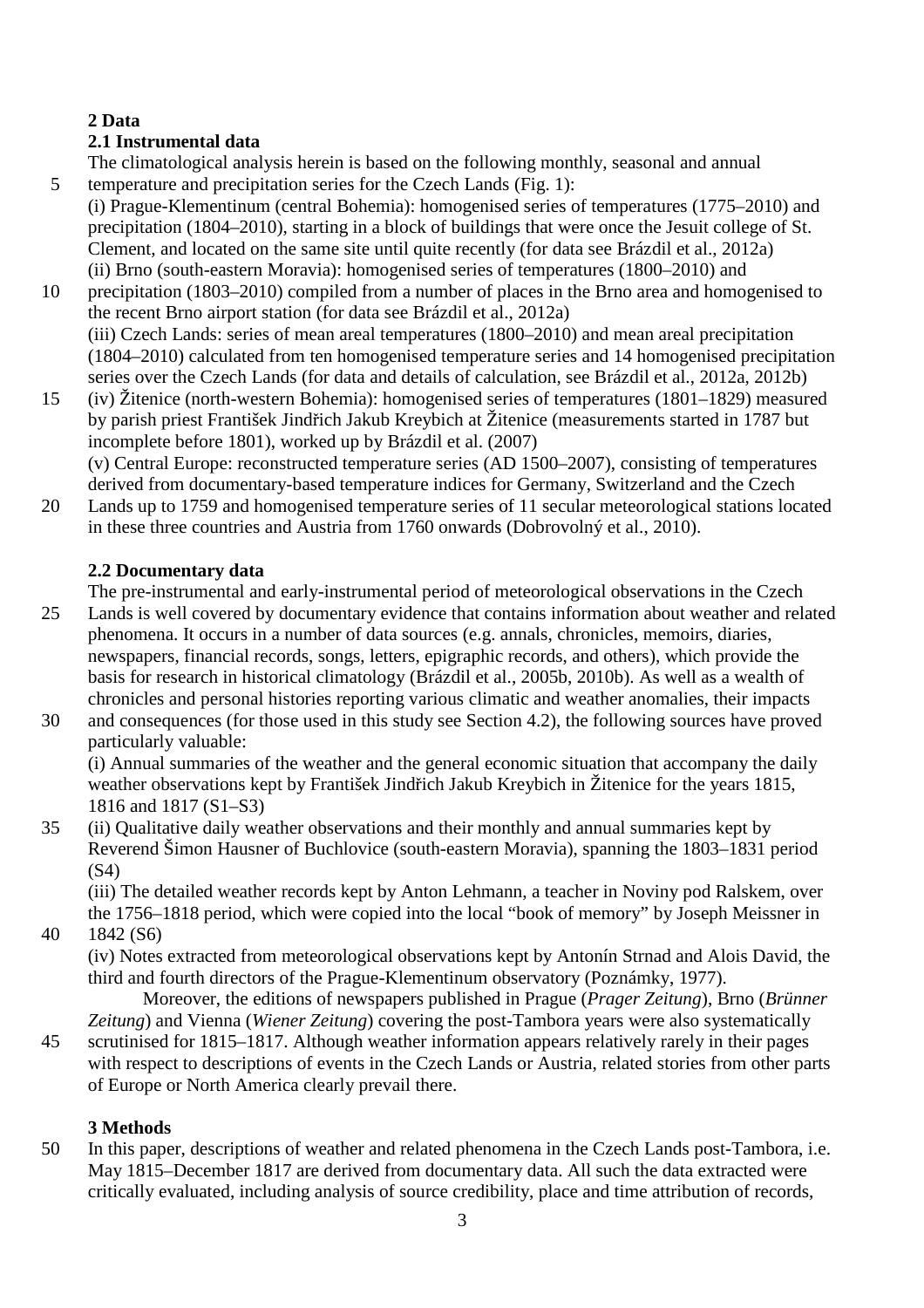# **2 Data**

# **2.1 Instrumental data**

The climatological analysis herein is based on the following monthly, seasonal and annual 5 temperature and precipitation series for the Czech Lands (Fig. 1):

(i) Prague-Klementinum (central Bohemia): homogenised series of temperatures (1775–2010) and precipitation (1804–2010), starting in a block of buildings that were once the Jesuit college of St. Clement, and located on the same site until quite recently (for data see Brázdil et al., 2012a) (ii) Brno (south-eastern Moravia): homogenised series of temperatures (1800–2010) and

- 10 precipitation (1803–2010) compiled from a number of places in the Brno area and homogenised to the recent Brno airport station (for data see Brázdil et al., 2012a) (iii) Czech Lands: series of mean areal temperatures (1800–2010) and mean areal precipitation (1804–2010) calculated from ten homogenised temperature series and 14 homogenised precipitation series over the Czech Lands (for data and details of calculation, see Brázdil et al., 2012a, 2012b)
- 15 (iv) Žitenice (north-western Bohemia): homogenised series of temperatures (1801–1829) measured by parish priest František Jindřich Jakub Kreybich at Žitenice (measurements started in 1787 but incomplete before 1801), worked up by Brázdil et al. (2007)

(v) Central Europe: reconstructed temperature series (AD 1500–2007), consisting of temperatures derived from documentary-based temperature indices for Germany, Switzerland and the Czech

20 Lands up to 1759 and homogenised temperature series of 11 secular meteorological stations located in these three countries and Austria from 1760 onwards (Dobrovolný et al., 2010).

# **2.2 Documentary data**

The pre-instrumental and early-instrumental period of meteorological observations in the Czech

- 25 Lands is well covered by documentary evidence that contains information about weather and related phenomena. It occurs in a number of data sources (e.g. annals, chronicles, memoirs, diaries, newspapers, financial records, songs, letters, epigraphic records, and others), which provide the basis for research in historical climatology (Brázdil et al., 2005b, 2010b). As well as a wealth of chronicles and personal histories reporting various climatic and weather anomalies, their impacts
- 30 and consequences (for those used in this study see Section 4.2), the following sources have proved particularly valuable:

(i) Annual summaries of the weather and the general economic situation that accompany the daily weather observations kept by František Jindřich Jakub Kreybich in Žitenice for the years 1815, 1816 and 1817 (S1–S3)

35 (ii) Qualitative daily weather observations and their monthly and annual summaries kept by Reverend Šimon Hausner of Buchlovice (south-eastern Moravia), spanning the 1803–1831 period (S4)

(iii) The detailed weather records kept by Anton Lehmann, a teacher in Noviny pod Ralskem, over the 1756–1818 period, which were copied into the local "book of memory" by Joseph Meissner in

40 1842 (S6)

(iv) Notes extracted from meteorological observations kept by Antonín Strnad and Alois David, the third and fourth directors of the Prague-Klementinum observatory (Poznámky, 1977).

Moreover, the editions of newspapers published in Prague (*Prager Zeitung*), Brno (*Brünner Zeitung*) and Vienna (*Wiener Zeitung*) covering the post-Tambora years were also systematically

45 scrutinised for 1815–1817. Although weather information appears relatively rarely in their pages with respect to descriptions of events in the Czech Lands or Austria, related stories from other parts of Europe or North America clearly prevail there.

# **3 Methods**

50 In this paper, descriptions of weather and related phenomena in the Czech Lands post-Tambora, i.e. May 1815–December 1817 are derived from documentary data. All such the data extracted were critically evaluated, including analysis of source credibility, place and time attribution of records,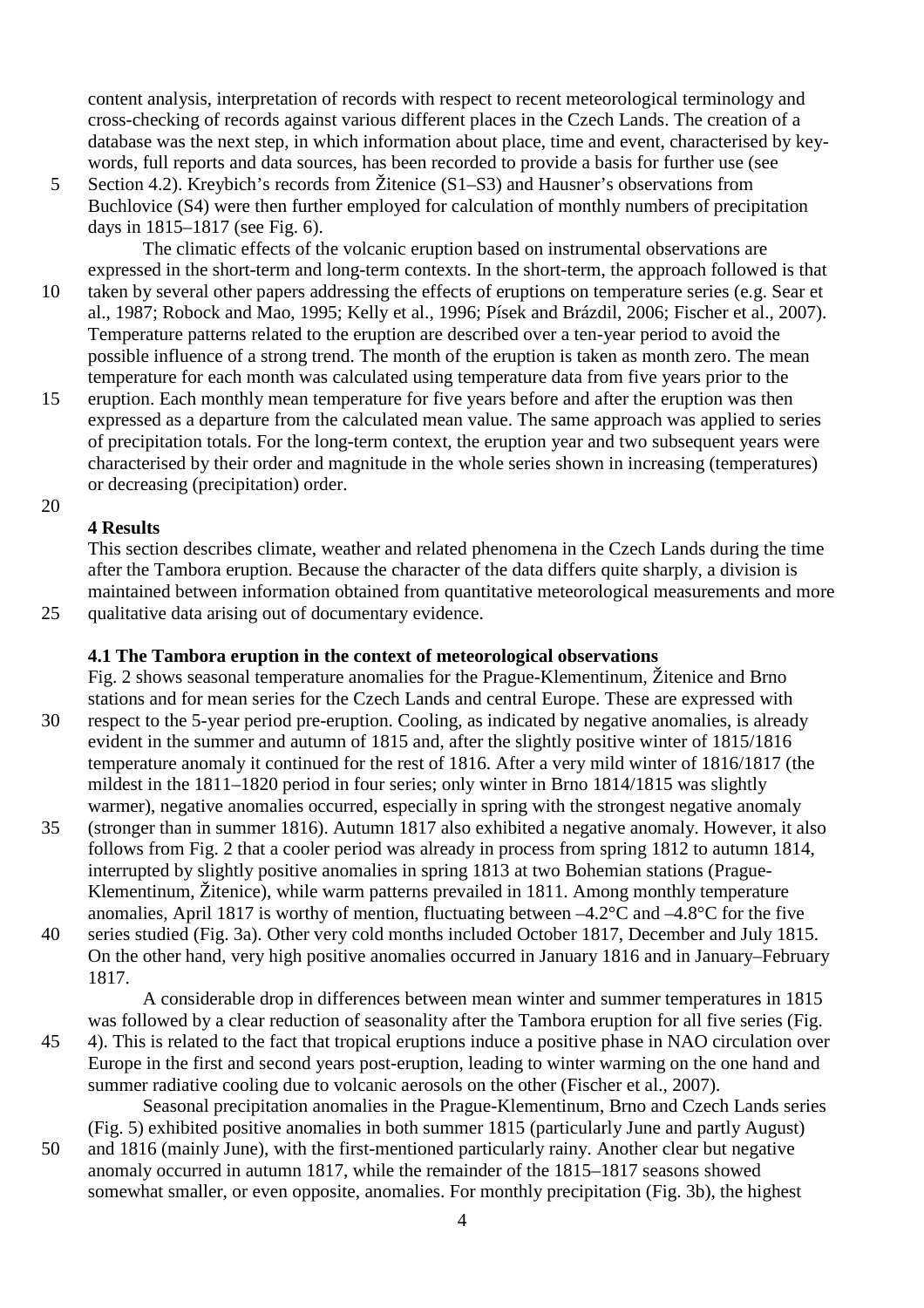content analysis, interpretation of records with respect to recent meteorological terminology and cross-checking of records against various different places in the Czech Lands. The creation of a database was the next step, in which information about place, time and event, characterised by keywords, full reports and data sources, has been recorded to provide a basis for further use (see

5 Section 4.2). Kreybich's records from Žitenice (S1–S3) and Hausner's observations from Buchlovice (S4) were then further employed for calculation of monthly numbers of precipitation days in 1815–1817 (see Fig. 6).

The climatic effects of the volcanic eruption based on instrumental observations are expressed in the short-term and long-term contexts. In the short-term, the approach followed is that

- 10 taken by several other papers addressing the effects of eruptions on temperature series (e.g. Sear et al., 1987; Robock and Mao, 1995; Kelly et al., 1996; Písek and Brázdil, 2006; Fischer et al., 2007). Temperature patterns related to the eruption are described over a ten-year period to avoid the possible influence of a strong trend. The month of the eruption is taken as month zero. The mean temperature for each month was calculated using temperature data from five years prior to the
- 15 eruption. Each monthly mean temperature for five years before and after the eruption was then expressed as a departure from the calculated mean value. The same approach was applied to series of precipitation totals. For the long-term context, the eruption year and two subsequent years were characterised by their order and magnitude in the whole series shown in increasing (temperatures) or decreasing (precipitation) order.
- 20

## **4 Results**

This section describes climate, weather and related phenomena in the Czech Lands during the time after the Tambora eruption. Because the character of the data differs quite sharply, a division is maintained between information obtained from quantitative meteorological measurements and more 25 qualitative data arising out of documentary evidence.

#### **4.1 The Tambora eruption in the context of meteorological observations**

Fig. 2 shows seasonal temperature anomalies for the Prague-Klementinum, Žitenice and Brno stations and for mean series for the Czech Lands and central Europe. These are expressed with

30 respect to the 5-year period pre-eruption. Cooling, as indicated by negative anomalies, is already evident in the summer and autumn of 1815 and, after the slightly positive winter of 1815/1816 temperature anomaly it continued for the rest of 1816. After a very mild winter of 1816/1817 (the mildest in the 1811–1820 period in four series; only winter in Brno 1814/1815 was slightly warmer), negative anomalies occurred, especially in spring with the strongest negative anomaly

35 (stronger than in summer 1816). Autumn 1817 also exhibited a negative anomaly. However, it also follows from Fig. 2 that a cooler period was already in process from spring 1812 to autumn 1814, interrupted by slightly positive anomalies in spring 1813 at two Bohemian stations (Prague-Klementinum, Žitenice), while warm patterns prevailed in 1811. Among monthly temperature anomalies, April 1817 is worthy of mention, fluctuating between  $-4.2^{\circ}$ C and  $-4.8^{\circ}$ C for the five 40 series studied (Fig. 3a). Other very cold months included October 1817, December and July 1815.

On the other hand, very high positive anomalies occurred in January 1816 and in January–February 1817.

A considerable drop in differences between mean winter and summer temperatures in 1815 was followed by a clear reduction of seasonality after the Tambora eruption for all five series (Fig. 45 4). This is related to the fact that tropical eruptions induce a positive phase in NAO circulation over Europe in the first and second years post-eruption, leading to winter warming on the one hand and

summer radiative cooling due to volcanic aerosols on the other (Fischer et al., 2007). Seasonal precipitation anomalies in the Prague-Klementinum, Brno and Czech Lands series

(Fig. 5) exhibited positive anomalies in both summer 1815 (particularly June and partly August) 50 and 1816 (mainly June), with the first-mentioned particularly rainy. Another clear but negative anomaly occurred in autumn 1817, while the remainder of the 1815–1817 seasons showed somewhat smaller, or even opposite, anomalies. For monthly precipitation (Fig. 3b), the highest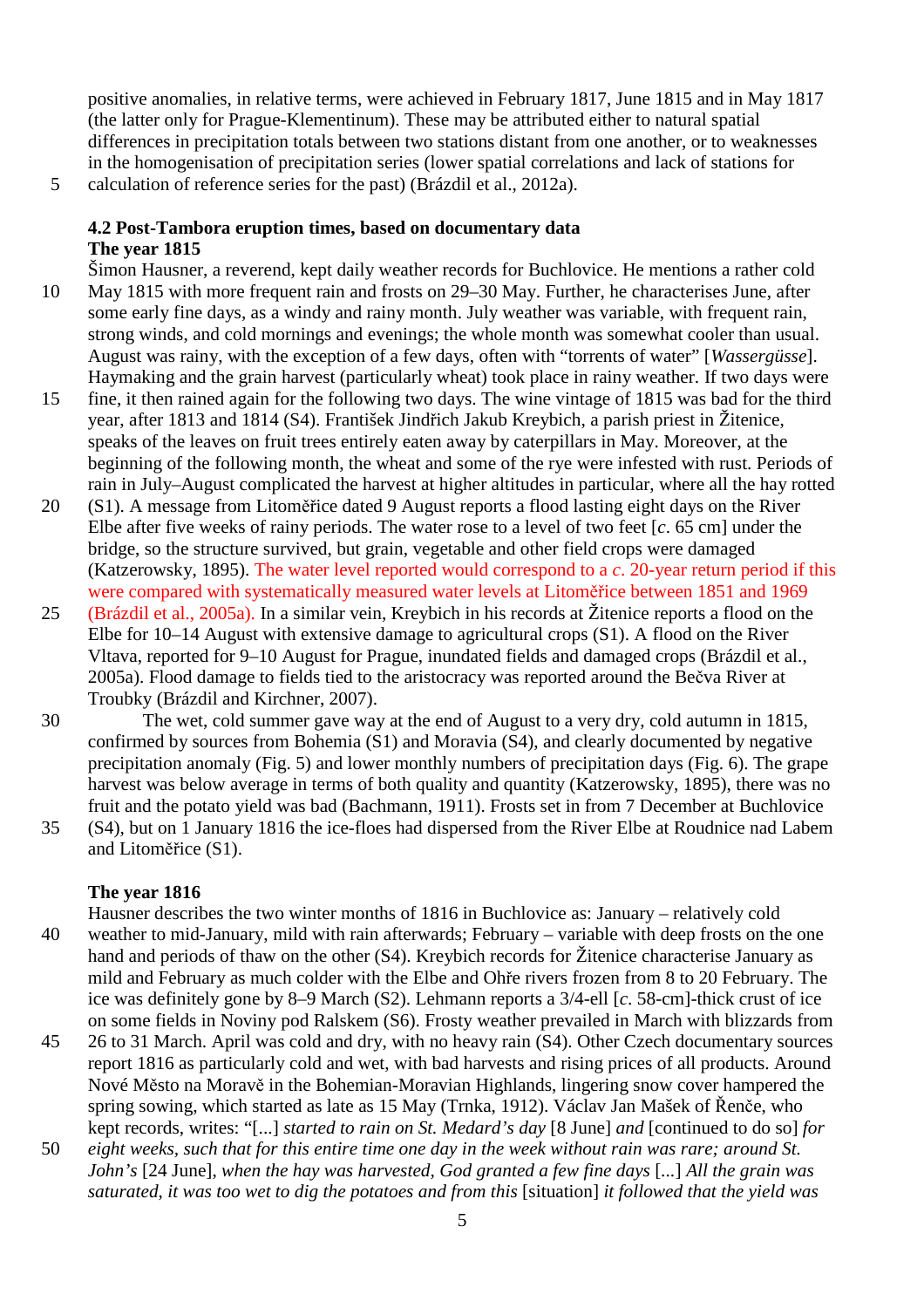positive anomalies, in relative terms, were achieved in February 1817, June 1815 and in May 1817 (the latter only for Prague-Klementinum). These may be attributed either to natural spatial differences in precipitation totals between two stations distant from one another, or to weaknesses in the homogenisation of precipitation series (lower spatial correlations and lack of stations for

5 calculation of reference series for the past) (Brázdil et al., 2012a).

## **4.2 Post-Tambora eruption times, based on documentary data The year 1815**

- Šimon Hausner, a reverend, kept daily weather records for Buchlovice. He mentions a rather cold 10 May 1815 with more frequent rain and frosts on 29–30 May. Further, he characterises June, after some early fine days, as a windy and rainy month. July weather was variable, with frequent rain, strong winds, and cold mornings and evenings; the whole month was somewhat cooler than usual. August was rainy, with the exception of a few days, often with "torrents of water" [*Wassergüsse*]. Haymaking and the grain harvest (particularly wheat) took place in rainy weather. If two days were
- 15 fine, it then rained again for the following two days. The wine vintage of 1815 was bad for the third year, after 1813 and 1814 (S4). František Jindřich Jakub Kreybich, a parish priest in Žitenice, speaks of the leaves on fruit trees entirely eaten away by caterpillars in May. Moreover, at the beginning of the following month, the wheat and some of the rye were infested with rust. Periods of rain in July–August complicated the harvest at higher altitudes in particular, where all the hay rotted
- 20 (S1). A message from Litoměřice dated 9 August reports a flood lasting eight days on the River Elbe after five weeks of rainy periods. The water rose to a level of two feet [*c*. 65 cm] under the bridge, so the structure survived, but grain, vegetable and other field crops were damaged (Katzerowsky, 1895). The water level reported would correspond to a *c*. 20-year return period if this were compared with systematically measured water levels at Litoměřice between 1851 and 1969
- 25 (Brázdil et al., 2005a). In a similar vein, Kreybich in his records at Žitenice reports a flood on the Elbe for 10–14 August with extensive damage to agricultural crops (S1). A flood on the River Vltava, reported for 9–10 August for Prague, inundated fields and damaged crops (Brázdil et al., 2005a). Flood damage to fields tied to the aristocracy was reported around the Bečva River at Troubky (Brázdil and Kirchner, 2007).
- 30 The wet, cold summer gave way at the end of August to a very dry, cold autumn in 1815, confirmed by sources from Bohemia (S1) and Moravia (S4), and clearly documented by negative precipitation anomaly (Fig. 5) and lower monthly numbers of precipitation days (Fig. 6). The grape harvest was below average in terms of both quality and quantity (Katzerowsky, 1895), there was no fruit and the potato yield was bad (Bachmann, 1911). Frosts set in from 7 December at Buchlovice
- 35 (S4), but on 1 January 1816 the ice-floes had dispersed from the River Elbe at Roudnice nad Labem and Litoměřice (S1).

# **The year 1816**

- Hausner describes the two winter months of 1816 in Buchlovice as: January relatively cold 40 weather to mid-January, mild with rain afterwards; February – variable with deep frosts on the one hand and periods of thaw on the other (S4). Kreybich records for Žitenice characterise January as mild and February as much colder with the Elbe and Ohře rivers frozen from 8 to 20 February. The ice was definitely gone by 8–9 March (S2). Lehmann reports a 3/4-ell [*c*. 58-cm]-thick crust of ice on some fields in Noviny pod Ralskem (S6). Frosty weather prevailed in March with blizzards from
- 45 26 to 31 March. April was cold and dry, with no heavy rain (S4). Other Czech documentary sources report 1816 as particularly cold and wet, with bad harvests and rising prices of all products. Around Nové Město na Moravě in the Bohemian-Moravian Highlands, lingering snow cover hampered the spring sowing, which started as late as 15 May (Trnka, 1912). Václav Jan Mašek of Řenče, who kept records, writes: "[...] *started to rain on St. Medard's day* [8 June] *and* [continued to do so] *for*
- 50 *eight weeks, such that for this entire time one day in the week without rain was rare; around St. John's* [24 June], *when the hay was harvested, God granted a few fine days* [*...*] *All the grain was saturated*, *it was too wet to dig the potatoes and from this* [situation] *it followed that the yield was*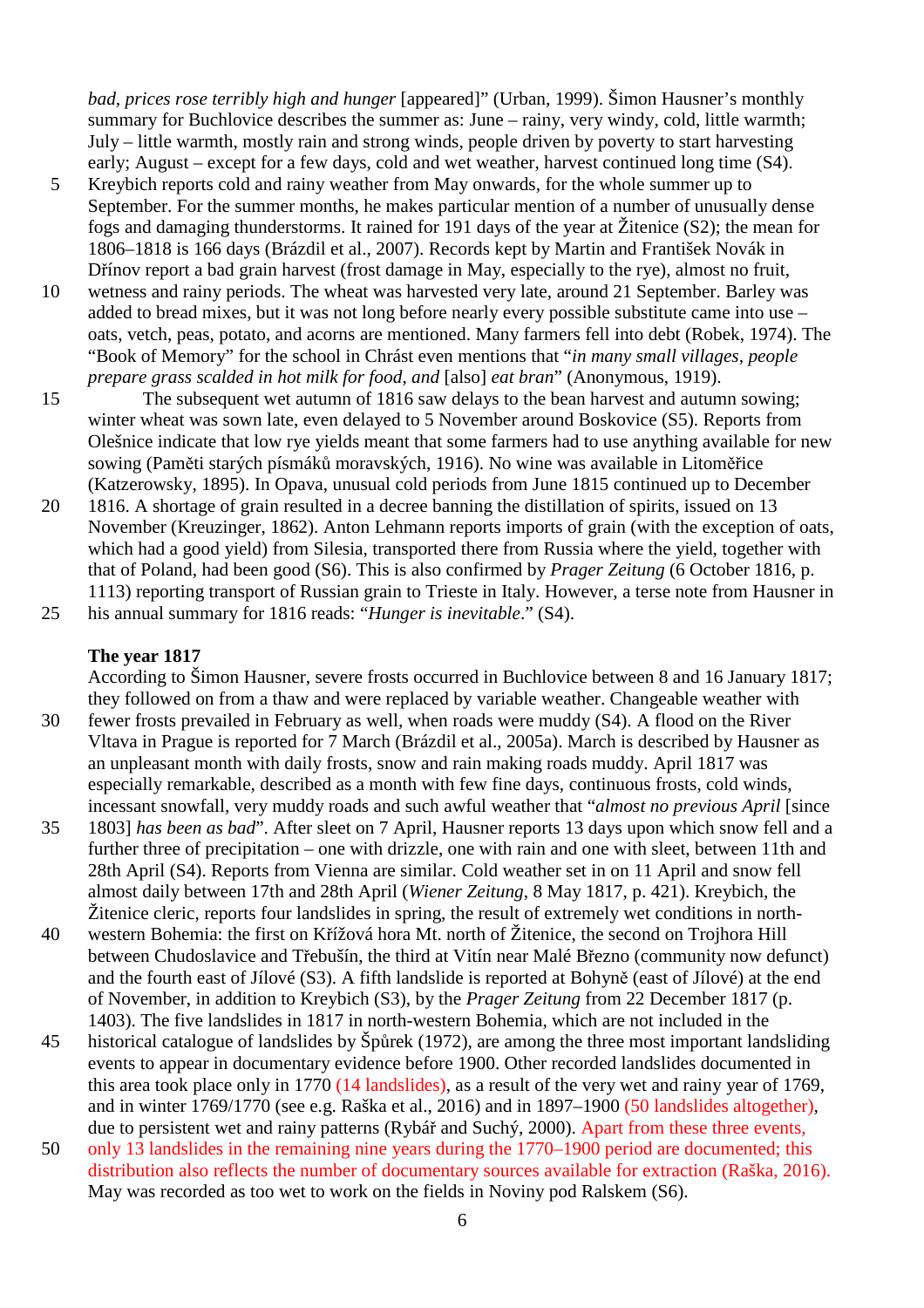*bad, prices rose terribly high and hunger* [appeared]" (Urban, 1999). Šimon Hausner's monthly summary for Buchlovice describes the summer as: June – rainy, very windy, cold, little warmth; July – little warmth, mostly rain and strong winds, people driven by poverty to start harvesting early; August – except for a few days, cold and wet weather, harvest continued long time (S4).

- 5 Kreybich reports cold and rainy weather from May onwards, for the whole summer up to September. For the summer months, he makes particular mention of a number of unusually dense fogs and damaging thunderstorms. It rained for 191 days of the year at Žitenice (S2); the mean for 1806–1818 is 166 days (Brázdil et al., 2007). Records kept by Martin and František Novák in Dřínov report a bad grain harvest (frost damage in May, especially to the rye), almost no fruit,
- 10 wetness and rainy periods. The wheat was harvested very late, around 21 September. Barley was added to bread mixes, but it was not long before nearly every possible substitute came into use – oats, vetch, peas, potato, and acorns are mentioned. Many farmers fell into debt (Robek, 1974). The "Book of Memory" for the school in Chrást even mentions that "*in many small villages, people prepare grass scalded in hot milk for food, and* [also] *eat bran*" (Anonymous, 1919).
- 15 The subsequent wet autumn of 1816 saw delays to the bean harvest and autumn sowing; winter wheat was sown late, even delayed to 5 November around Boskovice (S5). Reports from Olešnice indicate that low rye yields meant that some farmers had to use anything available for new sowing (Paměti starých písmáků moravských, 1916). No wine was available in Litoměřice (Katzerowsky, 1895). In Opava, unusual cold periods from June 1815 continued up to December
- 20 1816. A shortage of grain resulted in a decree banning the distillation of spirits, issued on 13 November (Kreuzinger, 1862). Anton Lehmann reports imports of grain (with the exception of oats, which had a good yield) from Silesia, transported there from Russia where the yield, together with that of Poland, had been good (S6). This is also confirmed by *Prager Zeitung* (6 October 1816, p. 1113) reporting transport of Russian grain to Trieste in Italy. However, a terse note from Hausner in

25 his annual summary for 1816 reads: "*Hunger is inevitable*." (S4).

#### **The year 1817**

According to Šimon Hausner, severe frosts occurred in Buchlovice between 8 and 16 January 1817; they followed on from a thaw and were replaced by variable weather. Changeable weather with

- 30 fewer frosts prevailed in February as well, when roads were muddy (S4). A flood on the River Vltava in Prague is reported for 7 March (Brázdil et al., 2005a). March is described by Hausner as an unpleasant month with daily frosts, snow and rain making roads muddy. April 1817 was especially remarkable, described as a month with few fine days, continuous frosts, cold winds, incessant snowfall, very muddy roads and such awful weather that "*almost no previous April* [since
- 35 1803] *has been as bad*". After sleet on 7 April, Hausner reports 13 days upon which snow fell and a further three of precipitation – one with drizzle, one with rain and one with sleet, between 11th and 28th April (S4). Reports from Vienna are similar. Cold weather set in on 11 April and snow fell almost daily between 17th and 28th April (*Wiener Zeitung*, 8 May 1817, p. 421). Kreybich, the Žitenice cleric, reports four landslides in spring, the result of extremely wet conditions in north-
- 40 western Bohemia: the first on Křížová hora Mt. north of Žitenice, the second on Trojhora Hill between Chudoslavice and Třebušín, the third at Vitín near Malé Březno (community now defunct) and the fourth east of Jílové (S3). A fifth landslide is reported at Bohyně (east of Jílové) at the end of November, in addition to Kreybich (S3), by the *Prager Zeitung* from 22 December 1817 (p. 1403). The five landslides in 1817 in north-western Bohemia, which are not included in the
- 45 historical catalogue of landslides by Špůrek (1972), are among the three most important landsliding events to appear in documentary evidence before 1900. Other recorded landslides documented in this area took place only in 1770 (14 landslides), as a result of the very wet and rainy year of 1769, and in winter 1769/1770 (see e.g. Raška et al., 2016) and in 1897–1900 (50 landslides altogether), due to persistent wet and rainy patterns (Rybář and Suchý, 2000). Apart from these three events,
- 50 only 13 landslides in the remaining nine years during the 1770–1900 period are documented; this distribution also reflects the number of documentary sources available for extraction (Raška, 2016). May was recorded as too wet to work on the fields in Noviny pod Ralskem (S6).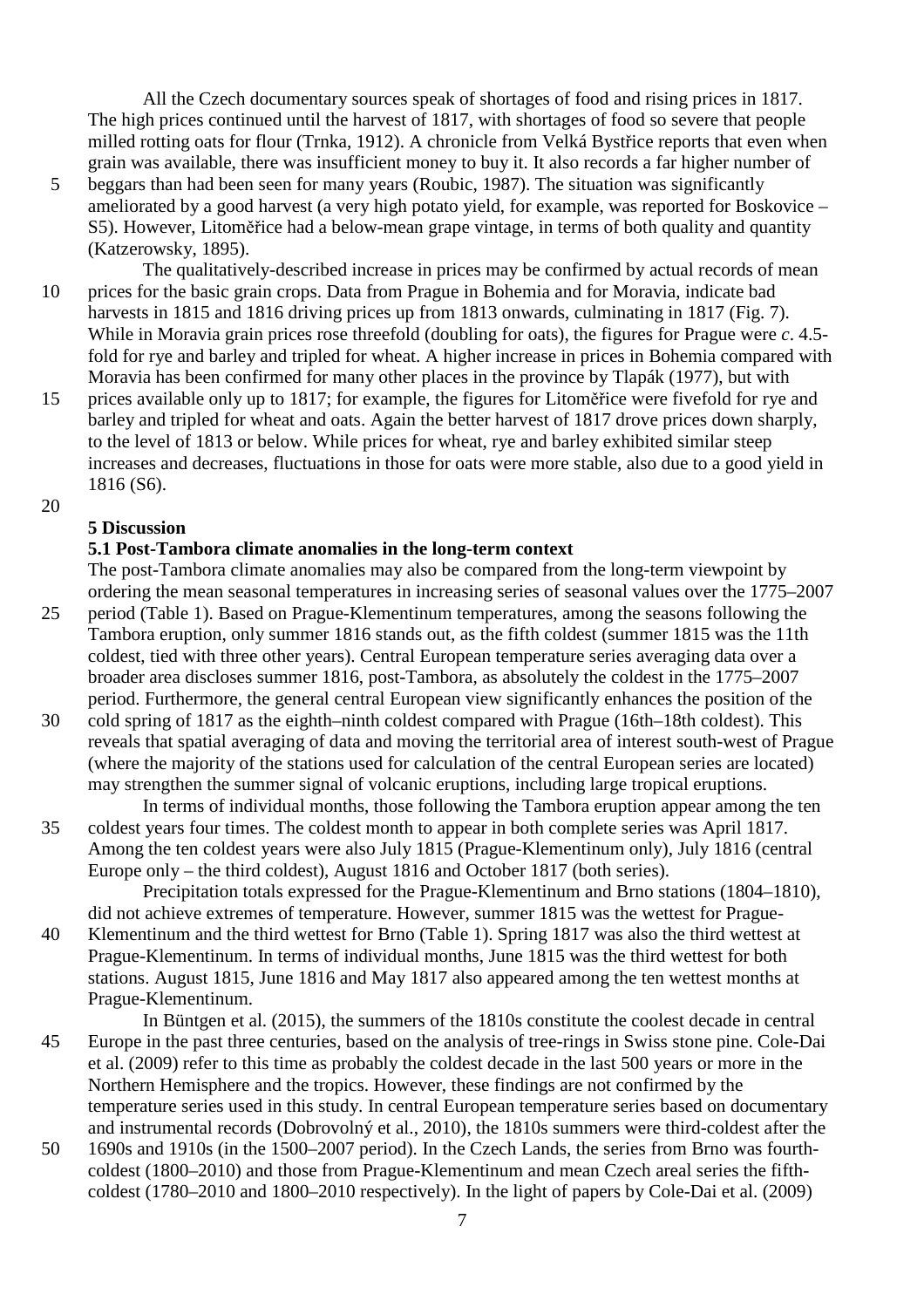All the Czech documentary sources speak of shortages of food and rising prices in 1817. The high prices continued until the harvest of 1817, with shortages of food so severe that people milled rotting oats for flour (Trnka, 1912). A chronicle from Velká Bystřice reports that even when grain was available, there was insufficient money to buy it. It also records a far higher number of

- 5 beggars than had been seen for many years (Roubic, 1987). The situation was significantly ameliorated by a good harvest (a very high potato yield, for example, was reported for Boskovice – S5). However, Litoměřice had a below-mean grape vintage, in terms of both quality and quantity (Katzerowsky, 1895).
- The qualitatively-described increase in prices may be confirmed by actual records of mean 10 prices for the basic grain crops. Data from Prague in Bohemia and for Moravia, indicate bad harvests in 1815 and 1816 driving prices up from 1813 onwards, culminating in 1817 (Fig. 7). While in Moravia grain prices rose threefold (doubling for oats), the figures for Prague were *c*. 4.5 fold for rye and barley and tripled for wheat. A higher increase in prices in Bohemia compared with Moravia has been confirmed for many other places in the province by Tlapák (1977), but with
- 15 prices available only up to 1817; for example, the figures for Litoměřice were fivefold for rye and barley and tripled for wheat and oats. Again the better harvest of 1817 drove prices down sharply, to the level of 1813 or below. While prices for wheat, rye and barley exhibited similar steep increases and decreases, fluctuations in those for oats were more stable, also due to a good yield in 1816 (S6).
- 20

### **5 Discussion**

#### **5.1 Post-Tambora climate anomalies in the long-term context**

The post-Tambora climate anomalies may also be compared from the long-term viewpoint by ordering the mean seasonal temperatures in increasing series of seasonal values over the 1775–2007

- 25 period (Table 1). Based on Prague-Klementinum temperatures, among the seasons following the Tambora eruption, only summer 1816 stands out, as the fifth coldest (summer 1815 was the 11th coldest, tied with three other years). Central European temperature series averaging data over a broader area discloses summer 1816, post-Tambora, as absolutely the coldest in the 1775–2007 period. Furthermore, the general central European view significantly enhances the position of the
- 30 cold spring of 1817 as the eighth–ninth coldest compared with Prague (16th–18th coldest). This reveals that spatial averaging of data and moving the territorial area of interest south-west of Prague (where the majority of the stations used for calculation of the central European series are located) may strengthen the summer signal of volcanic eruptions, including large tropical eruptions.
- In terms of individual months, those following the Tambora eruption appear among the ten 35 coldest years four times. The coldest month to appear in both complete series was April 1817. Among the ten coldest years were also July 1815 (Prague-Klementinum only), July 1816 (central Europe only – the third coldest), August 1816 and October 1817 (both series).

Precipitation totals expressed for the Prague-Klementinum and Brno stations (1804–1810), did not achieve extremes of temperature. However, summer 1815 was the wettest for Prague-40 Klementinum and the third wettest for Brno (Table 1). Spring 1817 was also the third wettest at

Prague-Klementinum. In terms of individual months, June 1815 was the third wettest for both stations. August 1815, June 1816 and May 1817 also appeared among the ten wettest months at Prague-Klementinum.

In Büntgen et al. (2015), the summers of the 1810s constitute the coolest decade in central 45 Europe in the past three centuries, based on the analysis of tree-rings in Swiss stone pine. Cole-Dai et al. (2009) refer to this time as probably the coldest decade in the last 500 years or more in the Northern Hemisphere and the tropics. However, these findings are not confirmed by the temperature series used in this study. In central European temperature series based on documentary and instrumental records (Dobrovolný et al., 2010), the 1810s summers were third-coldest after the

50 1690s and 1910s (in the 1500–2007 period). In the Czech Lands, the series from Brno was fourthcoldest (1800–2010) and those from Prague-Klementinum and mean Czech areal series the fifthcoldest (1780–2010 and 1800–2010 respectively). In the light of papers by Cole-Dai et al. (2009)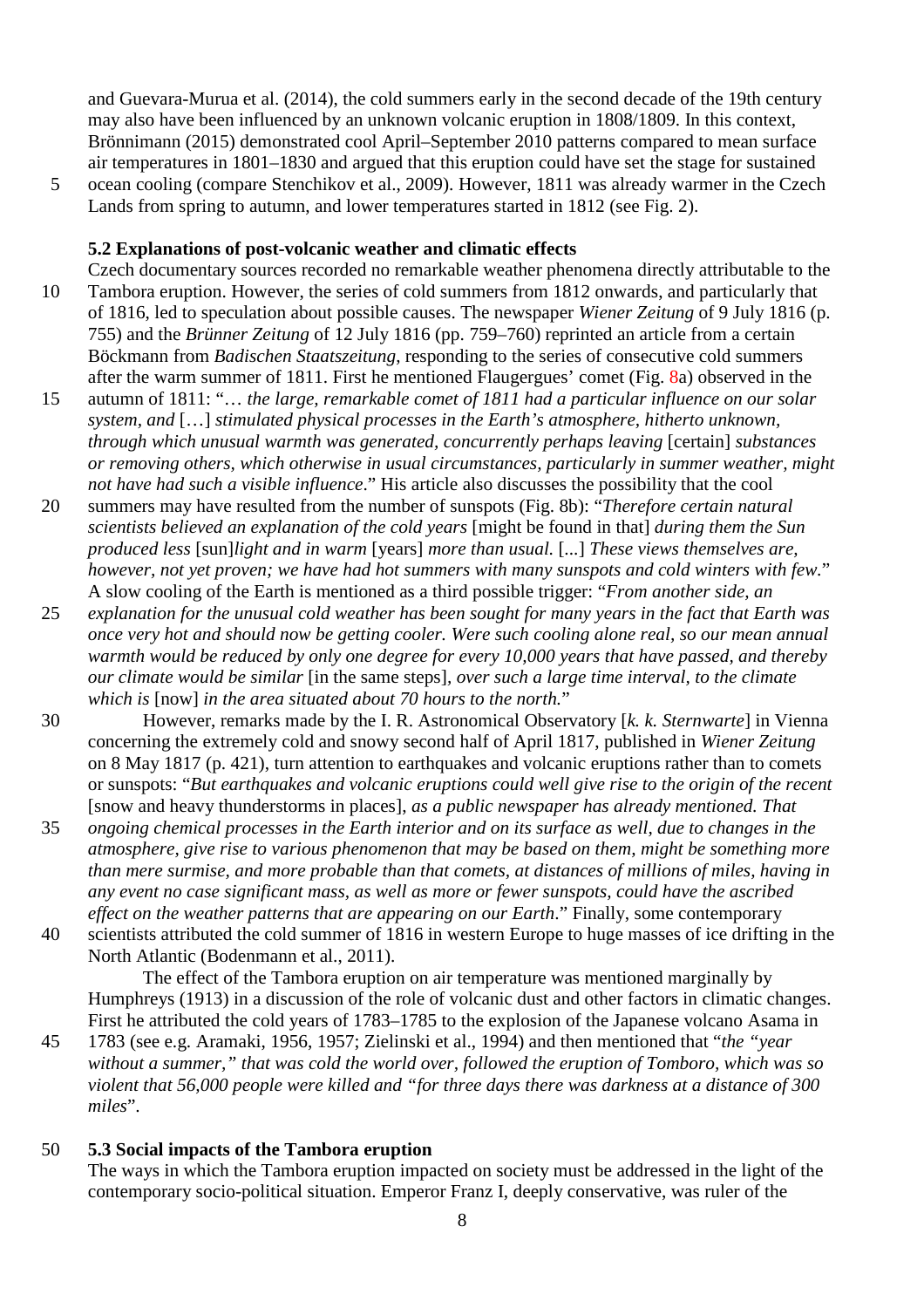and Guevara-Murua et al. (2014), the cold summers early in the second decade of the 19th century may also have been influenced by an unknown volcanic eruption in 1808/1809. In this context, Brönnimann (2015) demonstrated cool April–September 2010 patterns compared to mean surface air temperatures in 1801–1830 and argued that this eruption could have set the stage for sustained

5 ocean cooling (compare Stenchikov et al., 2009). However, 1811 was already warmer in the Czech Lands from spring to autumn, and lower temperatures started in 1812 (see Fig. 2).

#### **5.2 Explanations of post-volcanic weather and climatic effects**

- Czech documentary sources recorded no remarkable weather phenomena directly attributable to the 10 Tambora eruption. However, the series of cold summers from 1812 onwards, and particularly that of 1816, led to speculation about possible causes. The newspaper *Wiener Zeitung* of 9 July 1816 (p. 755) and the *Brünner Zeitung* of 12 July 1816 (pp. 759–760) reprinted an article from a certain Böckmann from *Badischen Staatszeitung*, responding to the series of consecutive cold summers after the warm summer of 1811. First he mentioned Flaugergues' comet (Fig. 8a) observed in the
- 15 autumn of 1811: "… *the large, remarkable comet of 1811 had a particular influence on our solar system, and* […] *stimulated physical processes in the Earth's atmosphere, hitherto unknown, through which unusual warmth was generated, concurrently perhaps leaving* [certain] *substances or removing others, which otherwise in usual circumstances, particularly in summer weather, might not have had such a visible influence*." His article also discusses the possibility that the cool
- 20 summers may have resulted from the number of sunspots (Fig. 8b): "*Therefore certain natural scientists believed an explanation of the cold years* [might be found in that] *during them the Sun produced less* [sun]*light and in warm* [years] *more than usual.* [*...*] *These views themselves are, however, not yet proven; we have had hot summers with many sunspots and cold winters with few.*" A slow cooling of the Earth is mentioned as a third possible trigger: "*From another side, an*
- 25 *explanation for the unusual cold weather has been sought for many years in the fact that Earth was once very hot and should now be getting cooler. Were such cooling alone real, so our mean annual warmth would be reduced by only one degree for every 10,000 years that have passed, and thereby our climate would be similar* [in the same steps]*, over such a large time interval, to the climate which is* [now] *in the area situated about 70 hours to the north.*"
- 30 However, remarks made by the I. R. Astronomical Observatory [*k. k. Sternwarte*] in Vienna concerning the extremely cold and snowy second half of April 1817, published in *Wiener Zeitung* on 8 May 1817 (p. 421), turn attention to earthquakes and volcanic eruptions rather than to comets or sunspots: "*But earthquakes and volcanic eruptions could well give rise to the origin of the recent* [snow and heavy thunderstorms in places], *as a public newspaper has already mentioned. That*
- 35 *ongoing chemical processes in the Earth interior and on its surface as well, due to changes in the atmosphere, give rise to various phenomenon that may be based on them, might be something more than mere surmise, and more probable than that comets, at distances of millions of miles, having in any event no case significant mass, as well as more or fewer sunspots, could have the ascribed effect on the weather patterns that are appearing on our Earth*." Finally, some contemporary
- 40 scientists attributed the cold summer of 1816 in western Europe to huge masses of ice drifting in the North Atlantic (Bodenmann et al., 2011).

The effect of the Tambora eruption on air temperature was mentioned marginally by Humphreys (1913) in a discussion of the role of volcanic dust and other factors in climatic changes. First he attributed the cold years of 1783–1785 to the explosion of the Japanese volcano Asama in

45 1783 (see e.g. Aramaki, 1956, 1957; Zielinski et al., 1994) and then mentioned that "*the "year without a summer," that was cold the world over, followed the eruption of Tomboro, which was so violent that 56,000 people were killed and "for three days there was darkness at a distance of 300 miles*".

#### 50 **5.3 Social impacts of the Tambora eruption**

The ways in which the Tambora eruption impacted on society must be addressed in the light of the contemporary socio-political situation. Emperor Franz I, deeply conservative, was ruler of the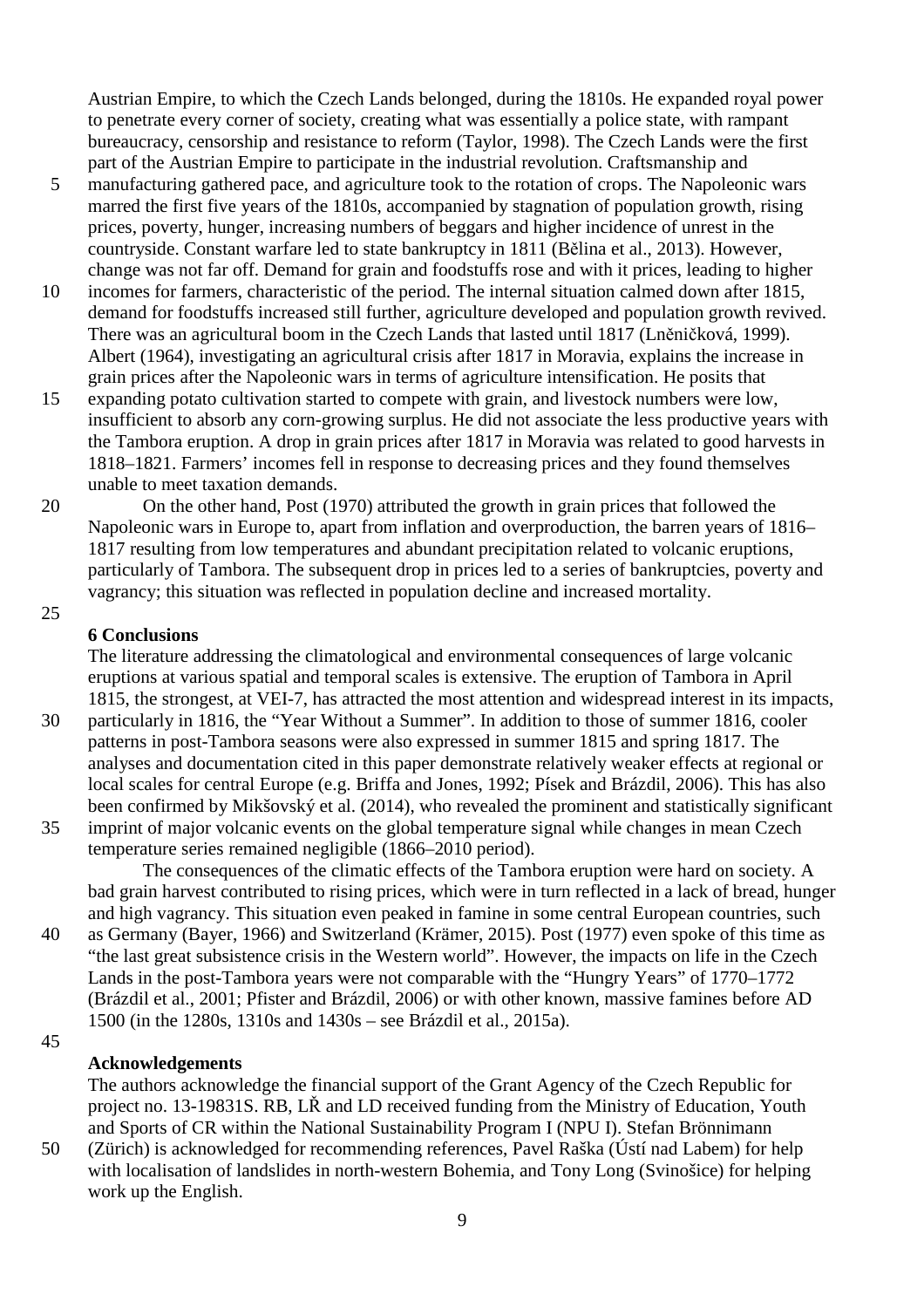Austrian Empire, to which the Czech Lands belonged, during the 1810s. He expanded royal power to penetrate every corner of society, creating what was essentially a police state, with rampant bureaucracy, censorship and resistance to reform (Taylor, 1998). The Czech Lands were the first part of the Austrian Empire to participate in the industrial revolution. Craftsmanship and

- 5 manufacturing gathered pace, and agriculture took to the rotation of crops. The Napoleonic wars marred the first five years of the 1810s, accompanied by stagnation of population growth, rising prices, poverty, hunger, increasing numbers of beggars and higher incidence of unrest in the countryside. Constant warfare led to state bankruptcy in 1811 (Bělina et al., 2013). However, change was not far off. Demand for grain and foodstuffs rose and with it prices, leading to higher
- 10 incomes for farmers, characteristic of the period. The internal situation calmed down after 1815, demand for foodstuffs increased still further, agriculture developed and population growth revived. There was an agricultural boom in the Czech Lands that lasted until 1817 (Lněničková, 1999). Albert (1964), investigating an agricultural crisis after 1817 in Moravia, explains the increase in grain prices after the Napoleonic wars in terms of agriculture intensification. He posits that
- 15 expanding potato cultivation started to compete with grain, and livestock numbers were low, insufficient to absorb any corn-growing surplus. He did not associate the less productive years with the Tambora eruption. A drop in grain prices after 1817 in Moravia was related to good harvests in 1818–1821. Farmers' incomes fell in response to decreasing prices and they found themselves unable to meet taxation demands.
- 20 On the other hand, Post (1970) attributed the growth in grain prices that followed the Napoleonic wars in Europe to, apart from inflation and overproduction, the barren years of 1816– 1817 resulting from low temperatures and abundant precipitation related to volcanic eruptions, particularly of Tambora. The subsequent drop in prices led to a series of bankruptcies, poverty and vagrancy; this situation was reflected in population decline and increased mortality.
- 25

## **6 Conclusions**

The literature addressing the climatological and environmental consequences of large volcanic eruptions at various spatial and temporal scales is extensive. The eruption of Tambora in April 1815, the strongest, at VEI-7, has attracted the most attention and widespread interest in its impacts,

- 30 particularly in 1816, the "Year Without a Summer". In addition to those of summer 1816, cooler patterns in post-Tambora seasons were also expressed in summer 1815 and spring 1817. The analyses and documentation cited in this paper demonstrate relatively weaker effects at regional or local scales for central Europe (e.g. Briffa and Jones, 1992; Písek and Brázdil, 2006). This has also been confirmed by Mikšovský et al. (2014), who revealed the prominent and statistically significant
- 35 imprint of major volcanic events on the global temperature signal while changes in mean Czech temperature series remained negligible (1866–2010 period).

The consequences of the climatic effects of the Tambora eruption were hard on society. A bad grain harvest contributed to rising prices, which were in turn reflected in a lack of bread, hunger and high vagrancy. This situation even peaked in famine in some central European countries, such

40 as Germany (Bayer, 1966) and Switzerland (Krämer, 2015). Post (1977) even spoke of this time as "the last great subsistence crisis in the Western world". However, the impacts on life in the Czech Lands in the post-Tambora years were not comparable with the "Hungry Years" of 1770–1772 (Brázdil et al., 2001; Pfister and Brázdil, 2006) or with other known, massive famines before AD 1500 (in the 1280s, 1310s and 1430s – see Brázdil et al., 2015a).

45

# **Acknowledgements**

The authors acknowledge the financial support of the Grant Agency of the Czech Republic for project no. 13-19831S. RB, LŘ and LD received funding from the Ministry of Education, Youth and Sports of CR within the National Sustainability Program I (NPU I). Stefan Brönnimann

50 (Zürich) is acknowledged for recommending references, Pavel Raška (Ústí nad Labem) for help with localisation of landslides in north-western Bohemia, and Tony Long (Svinošice) for helping work up the English.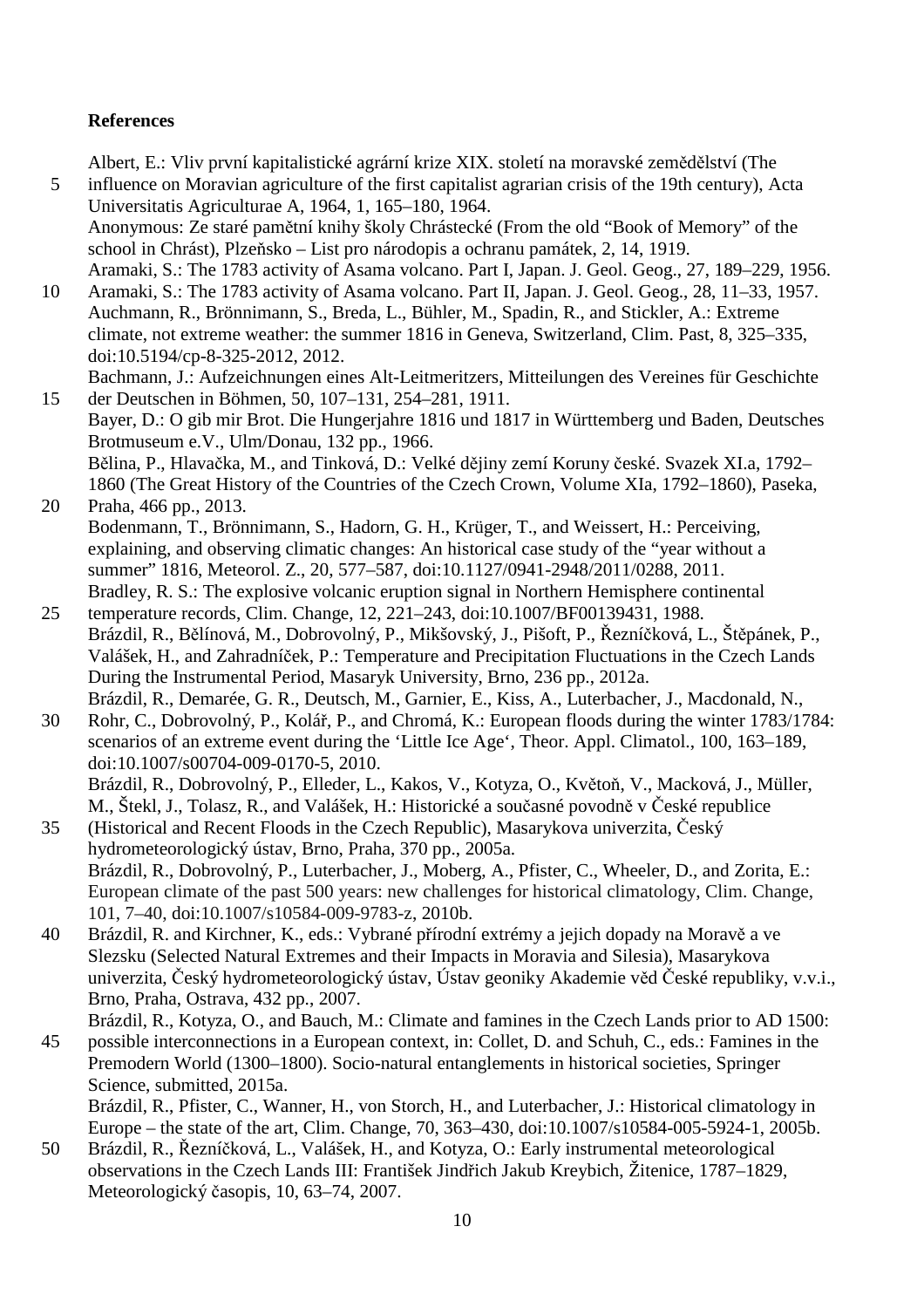## **References**

Albert, E.: Vliv první kapitalistické agrární krize XIX. století na moravské zemědělství (The

- 5 influence on Moravian agriculture of the first capitalist agrarian crisis of the 19th century), Acta Universitatis Agriculturae A, 1964, 1, 165–180, 1964. Anonymous: Ze staré pamětní knihy školy Chrástecké (From the old "Book of Memory" of the school in Chrást), Plzeňsko – List pro národopis a ochranu památek, 2, 14, 1919.
	- Aramaki, S.: The 1783 activity of Asama volcano. Part I, Japan. J. Geol. Geog., 27, 189–229, 1956.
- 10 Aramaki, S.: The 1783 activity of Asama volcano. Part II, Japan. J. Geol. Geog., 28, 11–33, 1957. Auchmann, R., Brönnimann, S., Breda, L., Bühler, M., Spadin, R., and Stickler, A.: Extreme climate, not extreme weather: the summer 1816 in Geneva, Switzerland, Clim. Past, 8, 325–335, doi:10.5194/cp-8-325-2012, 2012.

Bachmann, J.: Aufzeichnungen eines Alt-Leitmeritzers, Mitteilungen des Vereines für Geschichte 15 der Deutschen in Böhmen, 50, 107–131, 254–281, 1911.

- Bayer, D.: O gib mir Brot. Die Hungerjahre 1816 und 1817 in Württemberg und Baden, Deutsches Brotmuseum e.V., Ulm/Donau, 132 pp., 1966. Bělina, P., Hlavačka, M., and Tinková, D.: Velké dějiny zemí Koruny české. Svazek XI.a, 1792–
- 1860 (The Great History of the Countries of the Czech Crown, Volume XIa, 1792–1860), Paseka, 20 Praha, 466 pp., 2013.
- Bodenmann, T., Brönnimann, S., Hadorn, G. H., Krüger, T., and Weissert, H.: Perceiving, explaining, and observing climatic changes: An historical case study of the "year without a summer" 1816, Meteorol. Z., 20, 577–587, doi:10.1127/0941-2948/2011/0288, 2011. Bradley, R. S.: The explosive volcanic eruption signal in Northern Hemisphere continental
- 25 temperature records, Clim. Change, 12, 221–243, doi:10.1007/BF00139431, 1988. Brázdil, R., Bělínová, M., Dobrovolný, P., Mikšovský, J., Pišoft, P., Řezníčková, L., Štěpánek, P., Valášek, H., and Zahradníček, P.: Temperature and Precipitation Fluctuations in the Czech Lands During the Instrumental Period, Masaryk University, Brno, 236 pp., 2012a. Brázdil, R., Demarée, G. R., Deutsch, M., Garnier, E., Kiss, A., Luterbacher, J., Macdonald, N.,
- 30 Rohr, C., Dobrovolný, P., Kolář, P., and Chromá, K.: European floods during the winter 1783/1784: scenarios of an extreme event during the 'Little Ice Age', Theor. Appl. Climatol., 100, 163–189, doi:10.1007/s00704-009-0170-5, 2010.

Brázdil, R., Dobrovolný, P., Elleder, L., Kakos, V., Kotyza, O., Květoň, V., Macková, J., Müller, M., Štekl, J., Tolasz, R., and Valášek, H.: Historické a současné povodně v České republice

- 35 (Historical and Recent Floods in the Czech Republic), Masarykova univerzita, Český hydrometeorologický ústav, Brno, Praha, 370 pp., 2005a. Brázdil, R., Dobrovolný, P., Luterbacher, J., Moberg, A., Pfister, C., Wheeler, D., and Zorita, E.: European climate of the past 500 years: new challenges for historical climatology, Clim. Change, 101, 7–40, doi:10.1007/s10584-009-9783-z, 2010b.
- 40 Brázdil, R. and Kirchner, K., eds.: Vybrané přírodní extrémy a jejich dopady na Moravě a ve Slezsku (Selected Natural Extremes and their Impacts in Moravia and Silesia), Masarykova univerzita, Český hydrometeorologický ústav, Ústav geoniky Akademie věd České republiky, v.v.i., Brno, Praha, Ostrava, 432 pp., 2007.

Brázdil, R., Kotyza, O., and Bauch, M.: Climate and famines in the Czech Lands prior to AD 1500: 45 possible interconnections in a European context, in: Collet, D. and Schuh, C., eds.: Famines in the Premodern World (1300–1800). Socio-natural entanglements in historical societies, Springer Science, submitted, 2015a.

Brázdil, R., Pfister, C., Wanner, H., von Storch, H., and Luterbacher, J.: Historical climatology in Europe – the state of the art, Clim. Change, 70, 363–430, doi:10.1007/s10584-005-5924-1, 2005b.

50 Brázdil, R., Řezníčková, L., Valášek, H., and Kotyza, O.: Early instrumental meteorological observations in the Czech Lands III: František Jindřich Jakub Kreybich, Žitenice, 1787–1829, Meteorologický časopis, 10, 63–74, 2007.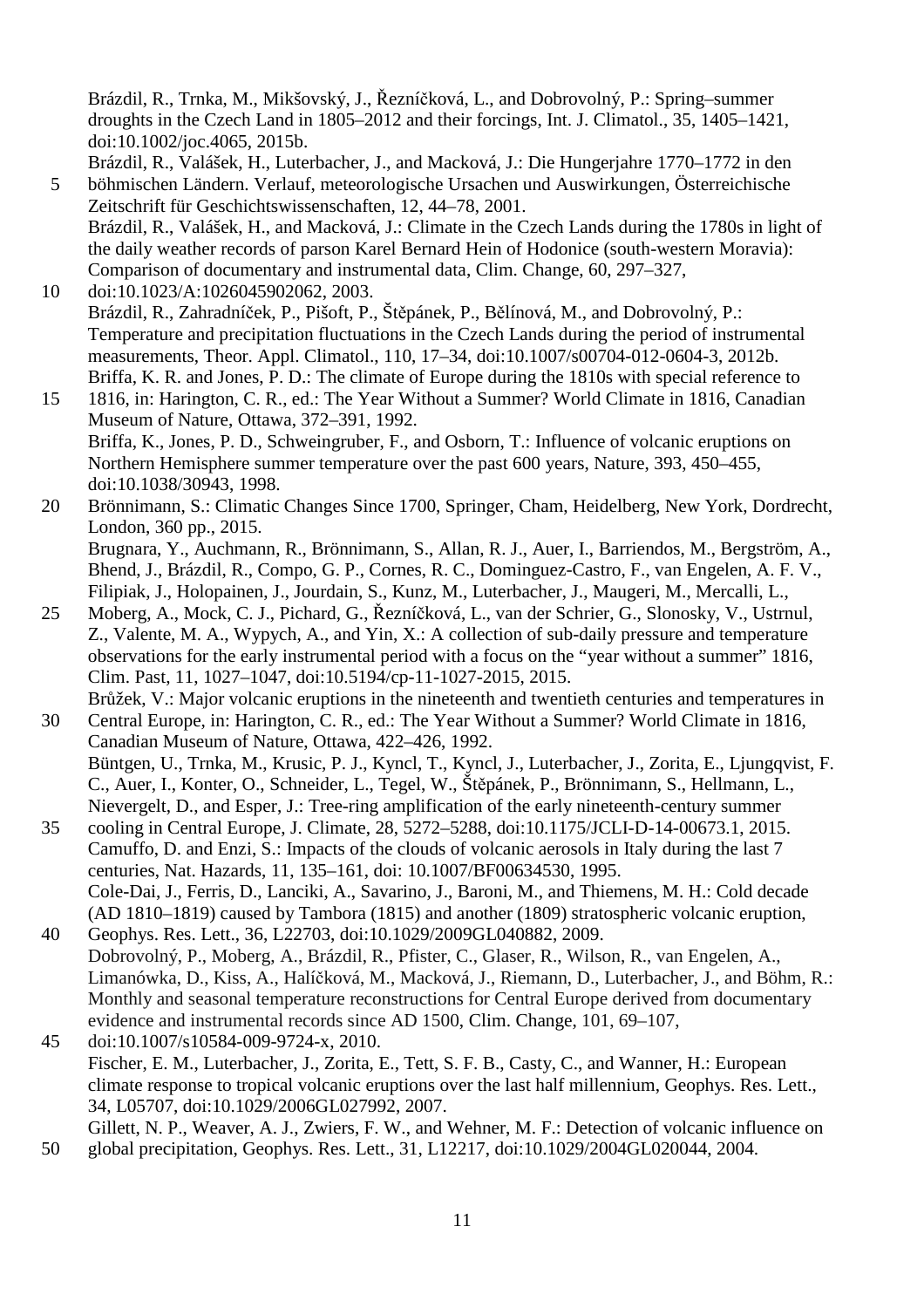Brázdil, R., Trnka, M., Mikšovský, J., Řezníčková, L., and Dobrovolný, P.: Spring–summer droughts in the Czech Land in 1805–2012 and their forcings, Int. J. Climatol., 35, 1405–1421, doi:10.1002/joc.4065, 2015b.

- Brázdil, R., Valášek, H., Luterbacher, J., and Macková, J.: Die Hungerjahre 1770–1772 in den 5 böhmischen Ländern. Verlauf, meteorologische Ursachen und Auswirkungen, Österreichische Zeitschrift für Geschichtswissenschaften, 12, 44–78, 2001.
	- Brázdil, R., Valášek, H., and Macková, J.: Climate in the Czech Lands during the 1780s in light of the daily weather records of parson Karel Bernard Hein of Hodonice (south-western Moravia): Comparison of documentary and instrumental data, Clim. Change, 60, 297–327,
- 10 doi:10.1023/A:1026045902062, 2003. Brázdil, R., Zahradníček, P., Pišoft, P., Štěpánek, P., Bělínová, M., and Dobrovolný, P.: Temperature and precipitation fluctuations in the Czech Lands during the period of instrumental measurements, Theor. Appl. Climatol., 110, 17–34, doi:10.1007/s00704-012-0604-3, 2012b. Briffa, K. R. and Jones, P. D.: The climate of Europe during the 1810s with special reference to
- 15 1816, in: Harington, C. R., ed.: The Year Without a Summer? World Climate in 1816, Canadian Museum of Nature, Ottawa, 372–391, 1992. Briffa, K., Jones, P. D., Schweingruber, F., and Osborn, T.: Influence of volcanic eruptions on Northern Hemisphere summer temperature over the past 600 years, Nature, 393, 450–455, doi:10.1038/30943, 1998.
- 20 Brönnimann, S.: Climatic Changes Since 1700, Springer, Cham, Heidelberg, New York, Dordrecht, London, 360 pp., 2015. Brugnara, Y., Auchmann, R., Brönnimann, S., Allan, R. J., Auer, I., Barriendos, M., Bergström, A., Bhend, J., Brázdil, R., Compo, G. P., Cornes, R. C., Dominguez-Castro, F., van Engelen, A. F. V., Filipiak, J., Holopainen, J., Jourdain, S., Kunz, M., Luterbacher, J., Maugeri, M., Mercalli, L.,
- 25 Moberg, A., Mock, C. J., Pichard, G., Řezníčková, L., van der Schrier, G., Slonosky, V., Ustrnul, Z., Valente, M. A., Wypych, A., and Yin, X.: A collection of sub-daily pressure and temperature observations for the early instrumental period with a focus on the "year without a summer" 1816, Clim. Past, 11, 1027–1047, doi:10.5194/cp-11-1027-2015, 2015. Brůžek, V.: Major volcanic eruptions in the nineteenth and twentieth centuries and temperatures in
- 30 Central Europe, in: Harington, C. R., ed.: The Year Without a Summer? World Climate in 1816, Canadian Museum of Nature, Ottawa, 422–426, 1992. Büntgen, U., Trnka, M., Krusic, P. J., Kyncl, T., Kyncl, J., Luterbacher, J., Zorita, E., Ljungqvist, F. C., Auer, I., Konter, O., Schneider, L., Tegel, W., Štěpánek, P., Brönnimann, S., Hellmann, L., Nievergelt, D., and Esper, J.: Tree-ring amplification of the early nineteenth-century summer
- 35 cooling in Central Europe, J. Climate, 28, 5272–5288, doi:10.1175/JCLI-D-14-00673.1, 2015. Camuffo, D. and Enzi, S.: Impacts of the clouds of volcanic aerosols in Italy during the last 7 centuries, Nat. Hazards, 11, 135–161, doi: 10.1007/BF00634530, 1995. Cole-Dai, J., Ferris, D., Lanciki, A., Savarino, J., Baroni, M., and Thiemens, M. H.: Cold decade (AD 1810–1819) caused by Tambora (1815) and another (1809) stratospheric volcanic eruption,
- 40 Geophys. Res. Lett., 36, L22703, doi:10.1029/2009GL040882, 2009. Dobrovolný, P., Moberg, A., Brázdil, R., Pfister, C., Glaser, R., Wilson, R., van Engelen, A., Limanówka, D., Kiss, A., Halíčková, M., Macková, J., Riemann, D., Luterbacher, J., and Böhm, R.: Monthly and seasonal temperature reconstructions for Central Europe derived from documentary evidence and instrumental records since AD 1500, Clim. Change, 101, 69–107,
- 45 doi:10.1007/s10584-009-9724-x, 2010. Fischer, E. M., Luterbacher, J., Zorita, E., Tett, S. F. B., Casty, C., and Wanner, H.: European climate response to tropical volcanic eruptions over the last half millennium, Geophys. Res. Lett., 34, L05707, doi:10.1029/2006GL027992, 2007. Gillett, N. P., Weaver, A. J., Zwiers, F. W., and Wehner, M. F.: Detection of volcanic influence on
- 50 global precipitation, Geophys. Res. Lett., 31, L12217, doi:10.1029/2004GL020044, 2004.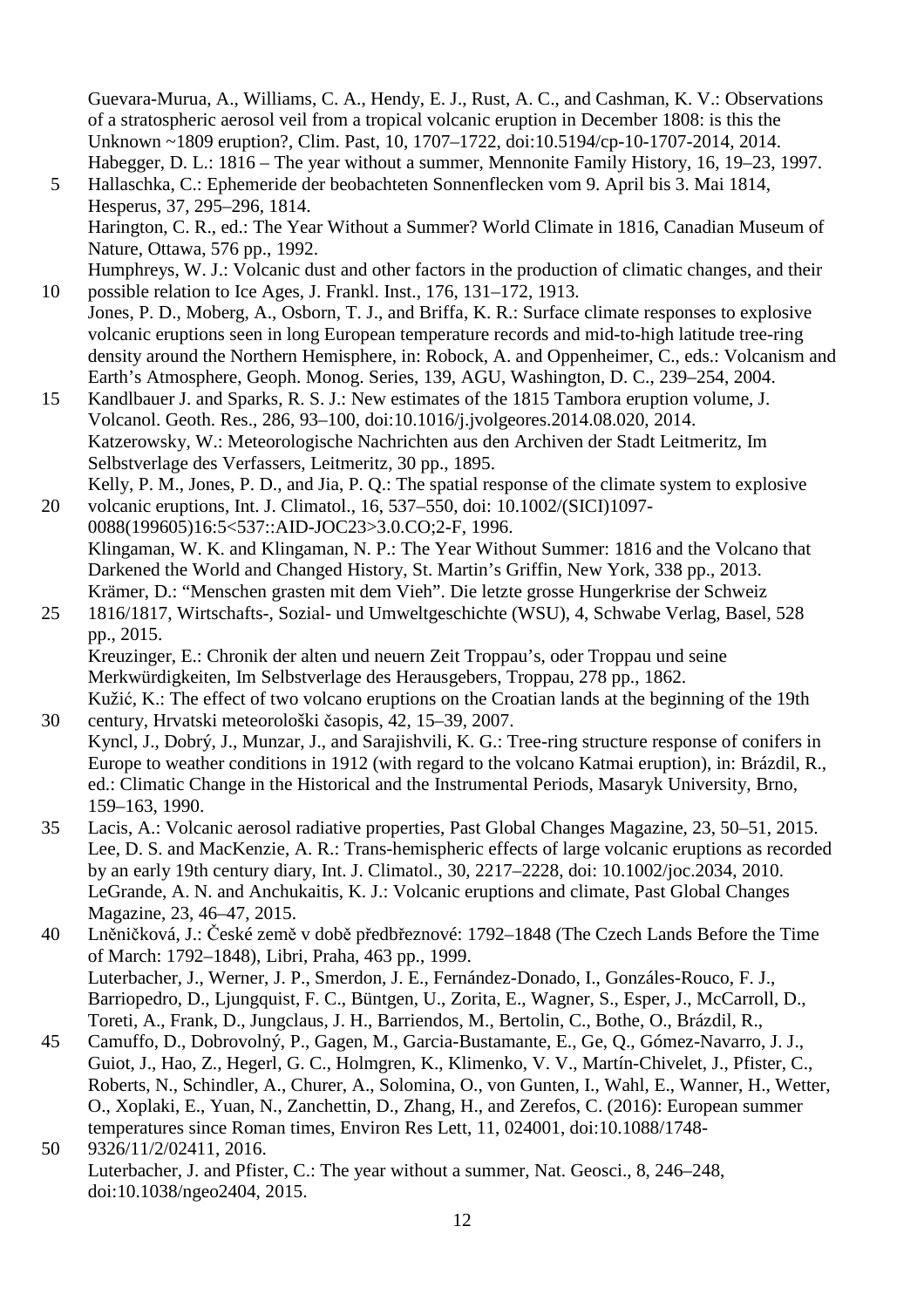Guevara-Murua, A., Williams, C. A., Hendy, E. J., Rust, A. C., and Cashman, K. V.: Observations of a stratospheric aerosol veil from a tropical volcanic eruption in December 1808: is this the Unknown ~1809 eruption?, Clim. Past, 10, 1707–1722, doi:10.5194/cp-10-1707-2014, 2014. Habegger, D. L.: 1816 – The year without a summer, Mennonite Family History, 16, 19–23, 1997.

- 5 Hallaschka, C.: Ephemeride der beobachteten Sonnenflecken vom 9. April bis 3. Mai 1814, Hesperus, 37, 295–296, 1814. Harington, C. R., ed.: The Year Without a Summer? World Climate in 1816, Canadian Museum of Nature, Ottawa, 576 pp., 1992.
- Humphreys, W. J.: Volcanic dust and other factors in the production of climatic changes, and their 10 possible relation to Ice Ages, J. Frankl. Inst., 176, 131–172, 1913.
- Jones, P. D., Moberg, A., Osborn, T. J., and Briffa, K. R.: Surface climate responses to explosive volcanic eruptions seen in long European temperature records and mid-to-high latitude tree-ring density around the Northern Hemisphere, in: Robock, A. and Oppenheimer, C., eds.: Volcanism and Earth's Atmosphere, Geoph. Monog. Series, 139, AGU, Washington, D. C., 239–254, 2004.
- 15 Kandlbauer J. and Sparks, R. S. J.: New estimates of the 1815 Tambora eruption volume, J. Volcanol. Geoth. Res., 286, 93–100, doi:10.1016/j.jvolgeores.2014.08.020, 2014. Katzerowsky, W.: Meteorologische Nachrichten aus den Archiven der Stadt Leitmeritz, Im Selbstverlage des Verfassers, Leitmeritz, 30 pp., 1895. Kelly, P. M., Jones, P. D., and Jia, P. Q.: The spatial response of the climate system to explosive
- 20 volcanic eruptions, Int. J. Climatol., 16, 537–550, doi: 10.1002/(SICI)1097- 0088(199605)16:5<537::AID-JOC23>3.0.CO;2-F, 1996. Klingaman, W. K. and Klingaman, N. P.: The Year Without Summer: 1816 and the Volcano that Darkened the World and Changed History, St. Martin's Griffin, New York, 338 pp., 2013. Krämer, D.: "Menschen grasten mit dem Vieh". Die letzte grosse Hungerkrise der Schweiz
- 25 1816/1817, Wirtschafts-, Sozial- und Umweltgeschichte (WSU), 4, Schwabe Verlag, Basel, 528 pp., 2015. Kreuzinger, E.: Chronik der alten und neuern Zeit Troppau's, oder Troppau und seine

Merkwürdigkeiten, Im Selbstverlage des Herausgebers, Troppau, 278 pp., 1862. Kužić, K.: The effect of two volcano eruptions on the Croatian lands at the beginning of the 19th

- 30 century, Hrvatski meteorološki časopis, 42, 15–39, 2007. Kyncl, J., Dobrý, J., Munzar, J., and Sarajishvili, K. G.: Tree-ring structure response of conifers in Europe to weather conditions in 1912 (with regard to the volcano Katmai eruption), in: Brázdil, R., ed.: Climatic Change in the Historical and the Instrumental Periods, Masaryk University, Brno, 159–163, 1990.
- 35 Lacis, A.: Volcanic aerosol radiative properties, Past Global Changes Magazine, 23, 50–51, 2015. Lee, D. S. and MacKenzie, A. R.: Trans-hemispheric effects of large volcanic eruptions as recorded by an early 19th century diary, Int. J. Climatol., 30, 2217–2228, doi: 10.1002/joc.2034, 2010. LeGrande, A. N. and Anchukaitis, K. J.: Volcanic eruptions and climate, Past Global Changes Magazine, 23, 46–47, 2015.
- 40 Lněničková, J.: České země v době předbřeznové: 1792–1848 (The Czech Lands Before the Time of March: 1792–1848), Libri, Praha, 463 pp., 1999. Luterbacher, J., Werner, J. P., Smerdon, J. E., Fernández-Donado, I., Gonzáles-Rouco, F. J., Barriopedro, D., Ljungquist, F. C., Büntgen, U., Zorita, E., Wagner, S., Esper, J., McCarroll, D., Toreti, A., Frank, D., Jungclaus, J. H., Barriendos, M., Bertolin, C., Bothe, O., Brázdil, R.,
- 45 Camuffo, D., Dobrovolný, P., Gagen, M., Garcia-Bustamante, E., Ge, Q., Gómez-Navarro, J. J., Guiot, J., Hao, Z., Hegerl, G. C., Holmgren, K., Klimenko, V. V., Martín-Chivelet, J., Pfister, C., Roberts, N., Schindler, A., Churer, A., Solomina, O., von Gunten, I., Wahl, E., Wanner, H., Wetter, O., Xoplaki, E., Yuan, N., Zanchettin, D., Zhang, H., and Zerefos, C. (2016): European summer temperatures since Roman times, Environ Res Lett, 11, 024001, doi:10.1088/1748- 50 9326/11/2/02411, 2016.
	- Luterbacher, J. and Pfister, C.: The year without a summer, Nat. Geosci., 8, 246–248, doi:10.1038/ngeo2404, 2015.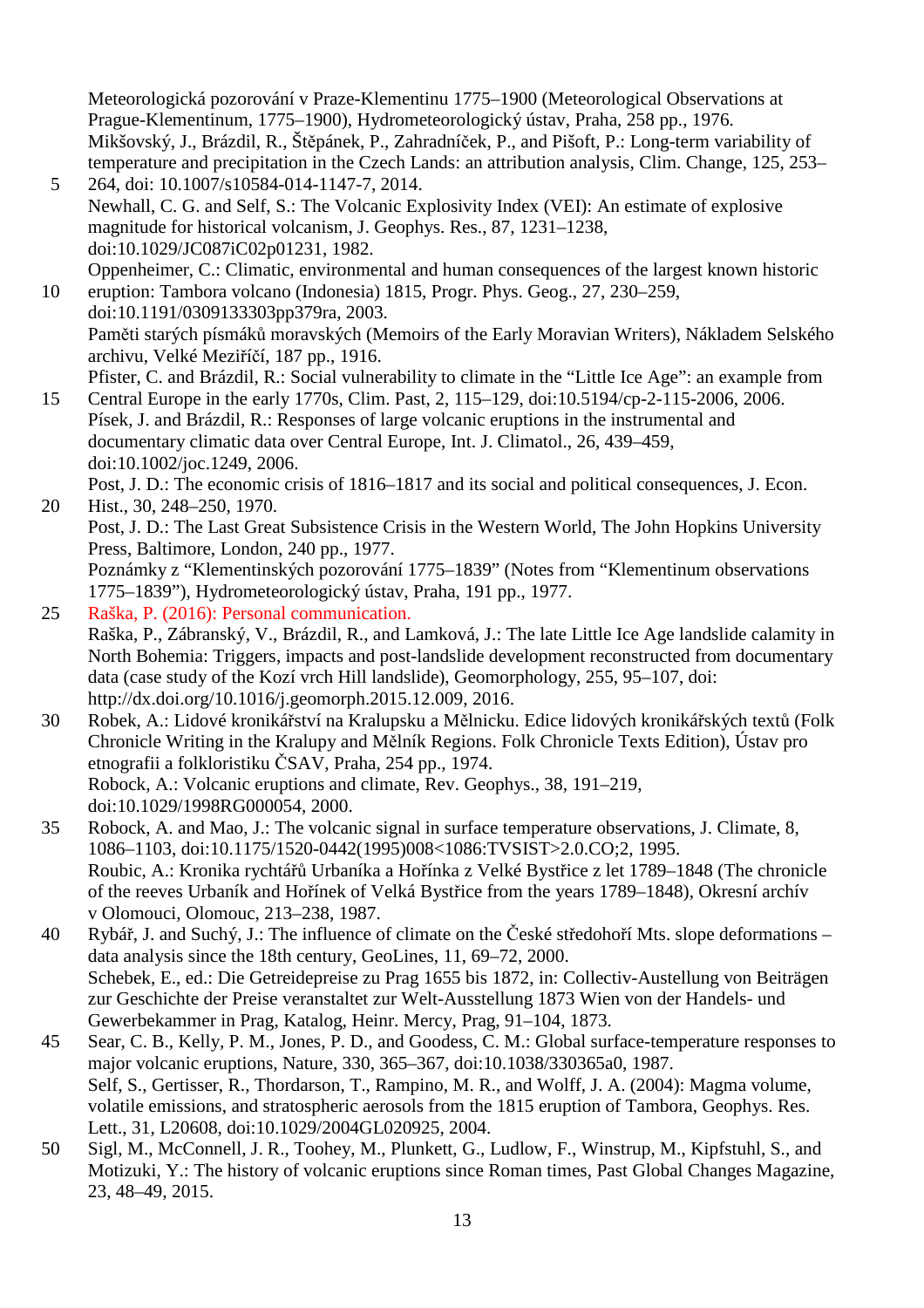Meteorologická pozorování v Praze-Klementinu 1775–1900 (Meteorological Observations at Prague-Klementinum, 1775–1900), Hydrometeorologický ústav, Praha, 258 pp., 1976. Mikšovský, J., Brázdil, R., Štěpánek, P., Zahradníček, P., and Pišoft, P.: Long-term variability of temperature and precipitation in the Czech Lands: an attribution analysis, Clim. Change, 125, 253–

- 5 264, doi: 10.1007/s10584-014-1147-7, 2014. Newhall, C. G. and Self, S.: The Volcanic Explosivity Index (VEI): An estimate of explosive magnitude for historical volcanism, J. Geophys. Res., 87, 1231–1238, doi:10.1029/JC087iC02p01231, 1982. Oppenheimer, C.: Climatic, environmental and human consequences of the largest known historic
- 10 eruption: Tambora volcano (Indonesia) 1815, Progr. Phys. Geog., 27, 230–259, doi:10.1191/0309133303pp379ra, 2003. Paměti starých písmáků moravských (Memoirs of the Early Moravian Writers), Nákladem Selského archivu, Velké Meziříčí, 187 pp., 1916. Pfister, C. and Brázdil, R.: Social vulnerability to climate in the "Little Ice Age": an example from
- 15 Central Europe in the early 1770s, Clim. Past, 2, 115–129, doi:10.5194/cp-2-115-2006, 2006. Písek, J. and Brázdil, R.: Responses of large volcanic eruptions in the instrumental and documentary climatic data over Central Europe, Int. J. Climatol., 26, 439–459, doi:10.1002/joc.1249, 2006.

Post, J. D.: The economic crisis of 1816–1817 and its social and political consequences, J. Econ. 20 Hist., 30, 248–250, 1970.

Post, J. D.: The Last Great Subsistence Crisis in the Western World, The John Hopkins University Press, Baltimore, London, 240 pp., 1977.

Poznámky z "Klementinských pozorování 1775–1839" (Notes from "Klementinum observations 1775–1839"), Hydrometeorologický ústav, Praha, 191 pp., 1977.

- 25 Raška, P. (2016): Personal communication. Raška, P., Zábranský, V., Brázdil, R., and Lamková, J.: The late Little Ice Age landslide calamity in North Bohemia: Triggers, impacts and post-landslide development reconstructed from documentary data (case study of the Kozí vrch Hill landslide), Geomorphology, 255, 95–107, doi: http://dx.doi.org/10.1016/j.geomorph.2015.12.009, 2016.
- 30 Robek, A.: Lidové kronikářství na Kralupsku a Mělnicku. Edice lidových kronikářských textů (Folk Chronicle Writing in the Kralupy and Mělník Regions. Folk Chronicle Texts Edition), Ústav pro etnografii a folkloristiku ČSAV, Praha, 254 pp., 1974. Robock, A.: Volcanic eruptions and climate, Rev. Geophys., 38, 191–219, doi:10.1029/1998RG000054, 2000.
- 35 Robock, A. and Mao, J.: The volcanic signal in surface temperature observations, J. Climate, 8, 1086–1103, doi:10.1175/1520-0442(1995)008<1086:TVSIST>2.0.CO;2, 1995. Roubic, A.: Kronika rychtářů Urbaníka a Hořínka z Velké Bystřice z let 1789–1848 (The chronicle of the reeves Urbaník and Hořínek of Velká Bystřice from the years 1789–1848), Okresní archív v Olomouci, Olomouc, 213–238, 1987.
- 40 Rybář, J. and Suchý, J.: The influence of climate on the České středohoří Mts. slope deformations data analysis since the 18th century, GeoLines, 11, 69–72, 2000. Schebek, E., ed.: Die Getreidepreise zu Prag 1655 bis 1872, in: Collectiv-Austellung von Beiträgen zur Geschichte der Preise veranstaltet zur Welt-Ausstellung 1873 Wien von der Handels- und Gewerbekammer in Prag, Katalog, Heinr. Mercy, Prag, 91–104, 1873.
- 45 Sear, C. B., Kelly, P. M., Jones, P. D., and Goodess, C. M.: Global surface-temperature responses to major volcanic eruptions, Nature, 330, 365–367, doi:10.1038/330365a0, 1987. Self, S., Gertisser, R., Thordarson, T., Rampino, M. R., and Wolff, J. A. (2004): Magma volume, volatile emissions, and stratospheric aerosols from the 1815 eruption of Tambora, Geophys. Res. Lett., 31, L20608, doi:10.1029/2004GL020925, 2004.
- 50 Sigl, M., McConnell, J. R., Toohey, M., Plunkett, G., Ludlow, F., Winstrup, M., Kipfstuhl, S., and Motizuki, Y.: The history of volcanic eruptions since Roman times, Past Global Changes Magazine, 23, 48–49, 2015.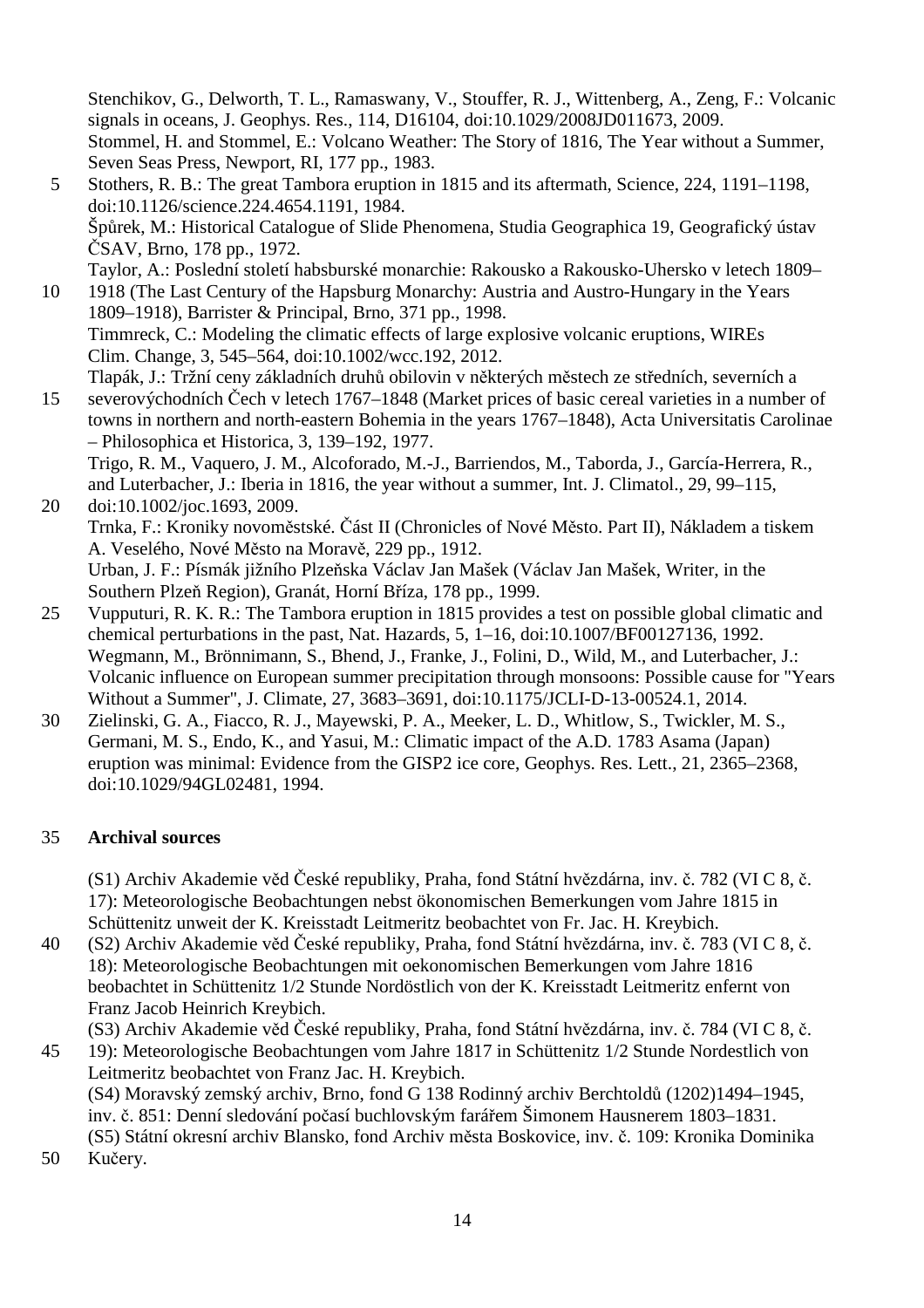Stenchikov, G., Delworth, T. L., Ramaswany, V., Stouffer, R. J., Wittenberg, A., Zeng, F.: Volcanic signals in oceans, J. Geophys. Res., 114, D16104, doi:10.1029/2008JD011673, 2009. Stommel, H. and Stommel, E.: Volcano Weather: The Story of 1816, The Year without a Summer, Seven Seas Press, Newport, RI, 177 pp., 1983.

5 Stothers, R. B.: The great Tambora eruption in 1815 and its aftermath, Science, 224, 1191–1198, doi:10.1126/science.224.4654.1191, 1984. Špůrek, M.: Historical Catalogue of Slide Phenomena, Studia Geographica 19, Geografický ústav ČSAV, Brno, 178 pp., 1972. Taylor, A.: Poslední století habsburské monarchie: Rakousko a Rakousko-Uhersko v letech 1809–

10 1918 (The Last Century of the Hapsburg Monarchy: Austria and Austro-Hungary in the Years 1809–1918), Barrister & Principal, Brno, 371 pp., 1998. Timmreck, C.: Modeling the climatic effects of large explosive volcanic eruptions, WIREs Clim. Change, 3, 545–564, doi:10.1002/wcc.192, 2012. Tlapák, J.: Tržní ceny základních druhů obilovin v některých městech ze středních, severních a

15 severovýchodních Čech v letech 1767–1848 (Market prices of basic cereal varieties in a number of towns in northern and north-eastern Bohemia in the years 1767–1848), Acta Universitatis Carolinae – Philosophica et Historica, 3, 139–192, 1977.

Trigo, R. M., Vaquero, J. M., Alcoforado, M.-J., Barriendos, M., Taborda, J., García-Herrera, R., and Luterbacher, J.: Iberia in 1816, the year without a summer, Int. J. Climatol., 29, 99–115, 20 doi:10.1002/joc.1693, 2009.

Trnka, F.: Kroniky novoměstské. Část II (Chronicles of Nové Město. Part II), Nákladem a tiskem A. Veselého, Nové Město na Moravě, 229 pp., 1912. Urban, J. F.: Písmák jižního Plzeňska Václav Jan Mašek (Václav Jan Mašek, Writer, in the Southern Plzeň Region), Granát, Horní Bříza, 178 pp., 1999.

- 25 Vupputuri, R. K. R.: The Tambora eruption in 1815 provides a test on possible global climatic and chemical perturbations in the past, Nat. Hazards, 5, 1–16, doi:10.1007/BF00127136, 1992. Wegmann, M., Brönnimann, S., Bhend, J., Franke, J., Folini, D., Wild, M., and Luterbacher, J.: Volcanic influence on European summer precipitation through monsoons: Possible cause for "Years Without a Summer", J. Climate, 27, 3683–3691, doi:10.1175/JCLI-D-13-00524.1, 2014.
- 30 Zielinski, G. A., Fiacco, R. J., Mayewski, P. A., Meeker, L. D., Whitlow, S., Twickler, M. S., Germani, M. S., Endo, K., and Yasui, M.: Climatic impact of the A.D. 1783 Asama (Japan) eruption was minimal: Evidence from the GISP2 ice core, Geophys. Res. Lett., 21, 2365–2368, doi:10.1029/94GL02481, 1994.

# 35 **Archival sources**

(S1) Archiv Akademie věd České republiky, Praha, fond Státní hvězdárna, inv. č. 782 (VI C 8, č. 17): Meteorologische Beobachtungen nebst ökonomischen Bemerkungen vom Jahre 1815 in Schüttenitz unweit der K. Kreisstadt Leitmeritz beobachtet von Fr. Jac. H. Kreybich.

40 (S2) Archiv Akademie věd České republiky, Praha, fond Státní hvězdárna, inv. č. 783 (VI C 8, č. 18): Meteorologische Beobachtungen mit oekonomischen Bemerkungen vom Jahre 1816 beobachtet in Schüttenitz 1/2 Stunde Nordöstlich von der K. Kreisstadt Leitmeritz enfernt von Franz Jacob Heinrich Kreybich.

(S3) Archiv Akademie věd České republiky, Praha, fond Státní hvězdárna, inv. č. 784 (VI C 8, č.

45 19): Meteorologische Beobachtungen vom Jahre 1817 in Schüttenitz 1/2 Stunde Nordestlich von Leitmeritz beobachtet von Franz Jac. H. Kreybich.

(S4) Moravský zemský archiv, Brno, fond G 138 Rodinný archiv Berchtoldů (1202)1494–1945, inv. č. 851: Denní sledování počasí buchlovským farářem Šimonem Hausnerem 1803–1831. (S5) Státní okresní archiv Blansko, fond Archiv města Boskovice, inv. č. 109: Kronika Dominika

50 Kučery.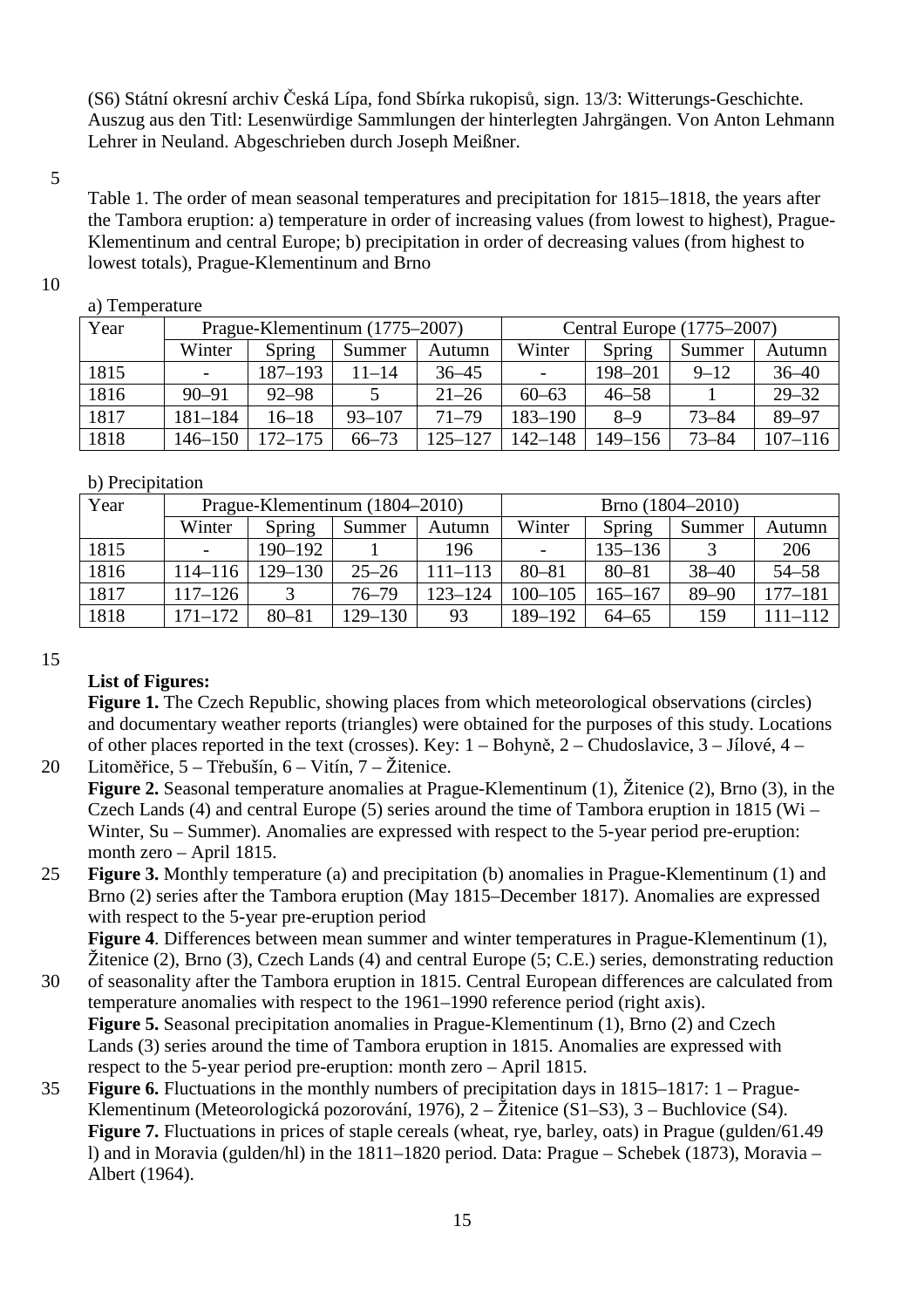(S6) Státní okresní archiv Česká Lípa, fond Sbírka rukopisů, sign. 13/3: Witterungs-Geschichte. Auszug aus den Titl: Lesenwürdige Sammlungen der hinterlegten Jahrgängen. Von Anton Lehmann Lehrer in Neuland. Abgeschrieben durch Joseph Meißner.

#### 5

Table 1. The order of mean seasonal temperatures and precipitation for 1815–1818, the years after the Tambora eruption: a) temperature in order of increasing values (from lowest to highest), Prague-Klementinum and central Europe; b) precipitation in order of decreasing values (from highest to lowest totals), Prague-Klementinum and Brno

### 10

### a) Temperature

| Year | Prague-Klementinum (1775–2007) |           |            |             | Central Europe (1775–2007) |           |           |             |
|------|--------------------------------|-----------|------------|-------------|----------------------------|-----------|-----------|-------------|
|      | Winter                         | Spring    | Summer     | Autumn      | Winter                     | Spring    | Summer    | Autumn      |
| 1815 |                                | 187-193   | $11 - 14$  | $36 - 45$   | $\overline{\phantom{a}}$   | 198-201   | $9 - 12$  | $36 - 40$   |
| 1816 | $90 - 91$                      | $92 - 98$ |            | $21 - 26$   | $60 - 63$                  | $46 - 58$ |           | $29 - 32$   |
| 1817 | $181 - 184$                    | $16 - 18$ | $93 - 107$ | $71 - 79$   | 183-190                    | $8 - 9$   | $73 - 84$ | 89-97       |
| 1818 | $146 - 150$                    | 172–175   | $66 - 73$  | $125 - 127$ | 142-148                    | 149–156   | $73 - 84$ | $107 - 116$ |

### b) Precipitation

| Year | Prague-Klementinum (1804–2010) |             |             |             | Brno (1804–2010) |             |           |             |
|------|--------------------------------|-------------|-------------|-------------|------------------|-------------|-----------|-------------|
|      | Winter                         | Spring      | Summer      | Autumn      | Winter           | Spring      | Summer    | Autumn      |
| 1815 | $\overline{\phantom{a}}$       | $190 - 192$ |             | 196         |                  | $135 - 136$ |           | 206         |
| 1816 | $114 - 116$                    | $129 - 130$ | $25 - 26$   | $111 - 113$ | $80 - 81$        | $80 - 81$   | $38 - 40$ | $54 - 58$   |
| 1817 | $117 - 126$                    |             | $76 - 79$   | 123–124     | $100 - 105$      | $165 - 167$ | $89 - 90$ | $177 - 181$ |
| 1818 | $171 - 172$                    | $80 - 81$   | $129 - 130$ | 93          | 189-192          | $64 - 65$   | 159       | $111 - 112$ |

#### 15

# **List of Figures:**

**Figure 1.** The Czech Republic, showing places from which meteorological observations (circles) and documentary weather reports (triangles) were obtained for the purposes of this study. Locations of other places reported in the text (crosses). Key: 1 – Bohyně, 2 – Chudoslavice, 3 – Jílové, 4 – 20 Litoměřice, 5 – Třebušín, 6 – Vitín, 7 – Žitenice.

**Figure 2.** Seasonal temperature anomalies at Prague-Klementinum (1), Žitenice (2), Brno (3), in the Czech Lands (4) and central Europe (5) series around the time of Tambora eruption in 1815 (Wi – Winter, Su – Summer). Anomalies are expressed with respect to the 5-year period pre-eruption: month zero – April 1815.

25 **Figure 3.** Monthly temperature (a) and precipitation (b) anomalies in Prague-Klementinum (1) and Brno (2) series after the Tambora eruption (May 1815–December 1817). Anomalies are expressed with respect to the 5-year pre-eruption period

**Figure 4**. Differences between mean summer and winter temperatures in Prague-Klementinum (1), Žitenice (2), Brno (3), Czech Lands (4) and central Europe (5; C.E.) series, demonstrating reduction

- 30 of seasonality after the Tambora eruption in 1815. Central European differences are calculated from temperature anomalies with respect to the 1961–1990 reference period (right axis). **Figure 5.** Seasonal precipitation anomalies in Prague-Klementinum (1), Brno (2) and Czech Lands (3) series around the time of Tambora eruption in 1815. Anomalies are expressed with respect to the 5-year period pre-eruption: month zero – April 1815.
- 35 **Figure 6.** Fluctuations in the monthly numbers of precipitation days in 1815–1817: 1 Prague-Klementinum (Meteorologická pozorování, 1976), 2 – Žitenice (S1–S3), 3 – Buchlovice (S4). **Figure 7.** Fluctuations in prices of staple cereals (wheat, rye, barley, oats) in Prague (gulden/61.49 l) and in Moravia (gulden/hl) in the 1811–1820 period. Data: Prague – Schebek (1873), Moravia – Albert (1964).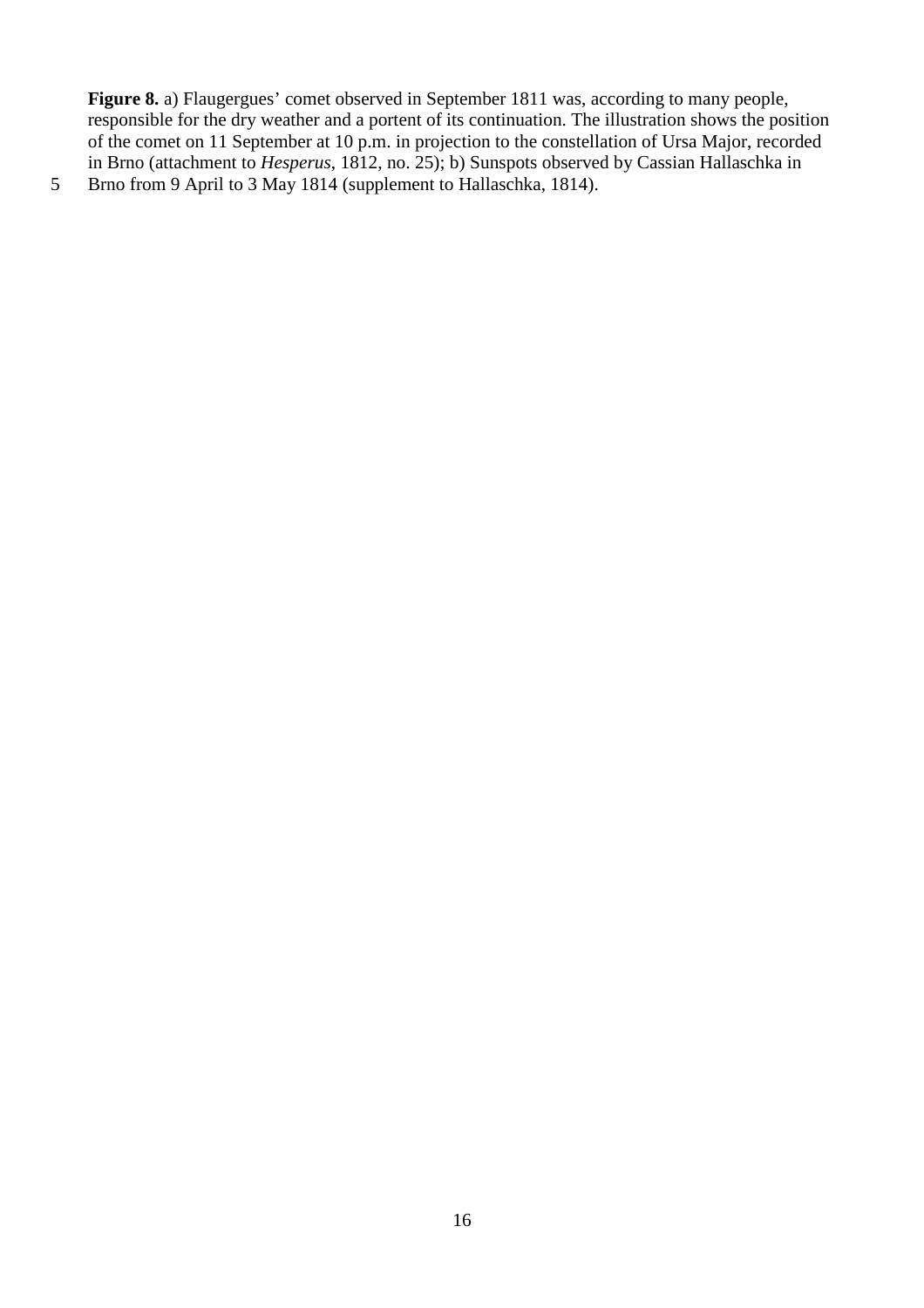Figure 8. a) Flaugergues' comet observed in September 1811 was, according to many people, responsible for the dry weather and a portent of its continuation. The illustration shows the position of the comet on 11 September at 10 p.m. in projection to the constellation of Ursa Major, recorded in Brno (attachment to *Hesperus*, 1812, no. 25); b) Sunspots observed by Cassian Hallaschka in

5 Brno from 9 April to 3 May 1814 (supplement to Hallaschka, 1814).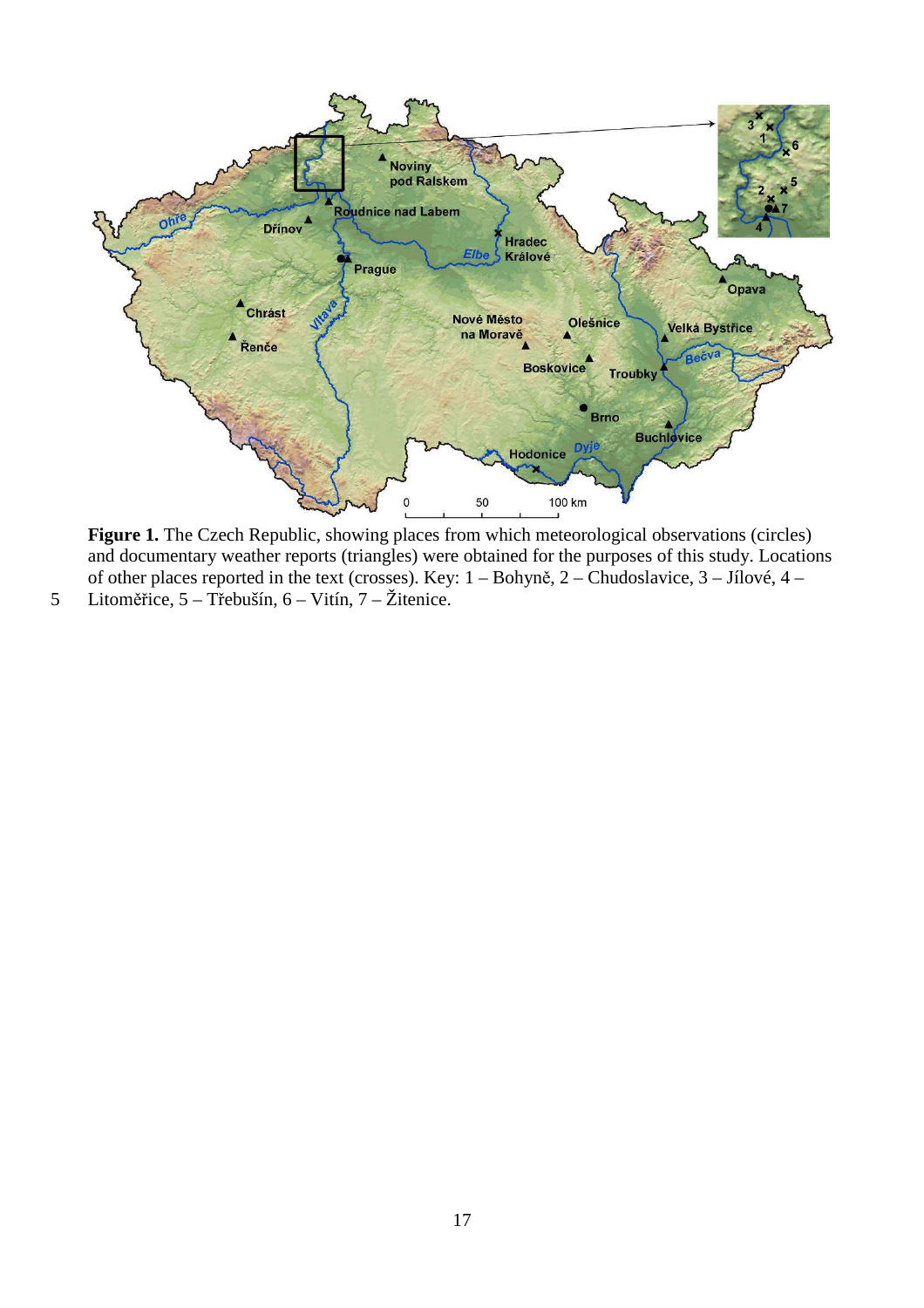

Figure 1. The Czech Republic, showing places from which meteorological observations (circles) and documentary weather reports (triangles) were obtained for the purposes of this study. Locations of other places reported in the text (crosses). Key: 1 – Bohyně, 2 – Chudoslavice, 3 – Jílové, 4 –

5 Litoměřice, 5 – Třebušín, 6 – Vitín, 7 – Žitenice.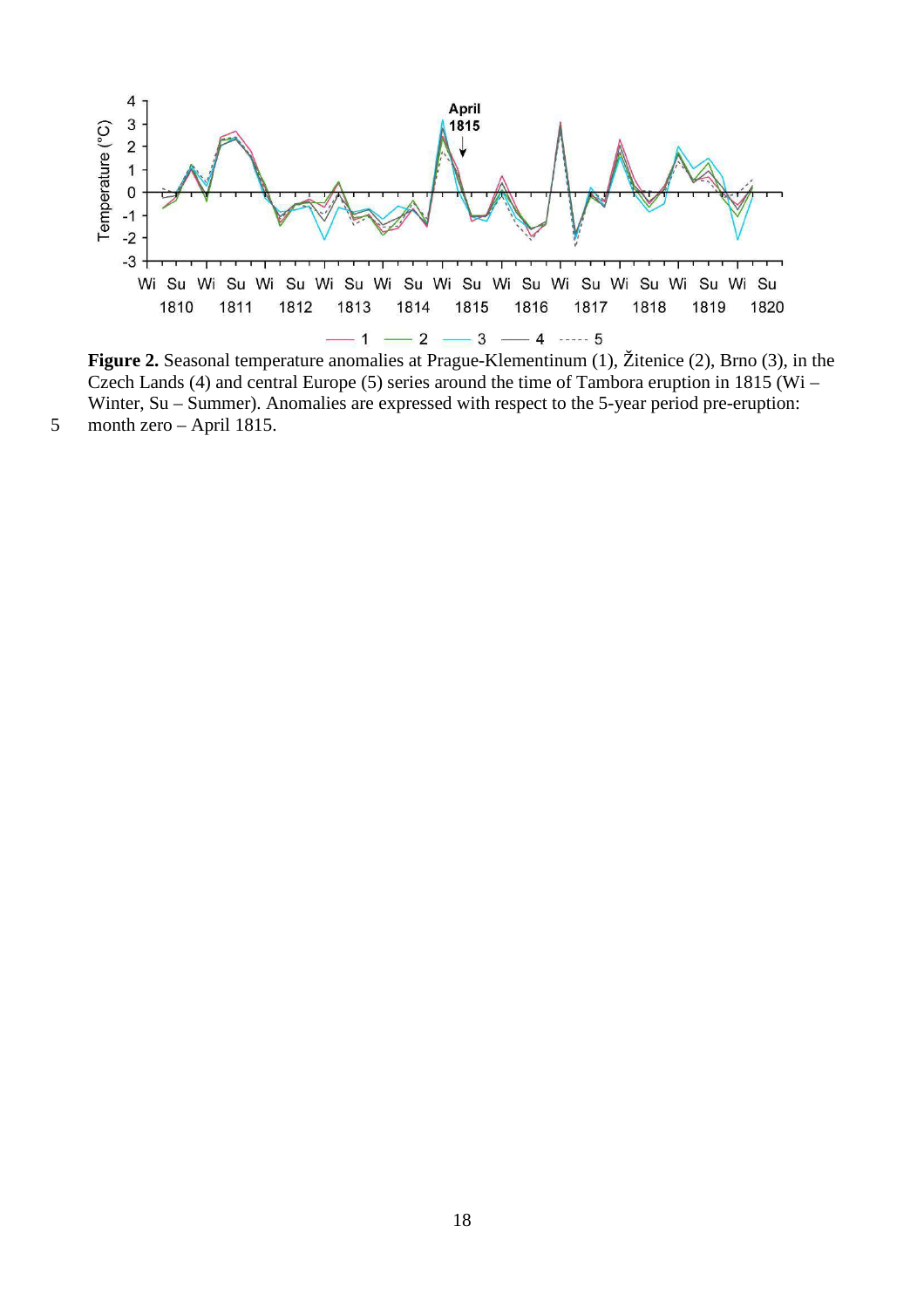

**Figure 2.** Seasonal temperature anomalies at Prague-Klementinum (1), Žitenice (2), Brno (3), in the Czech Lands (4) and central Europe (5) series around the time of Tambora eruption in 1815 (Wi – Winter, Su – Summer). Anomalies are expressed with respect to the 5-year period pre-eruption: 5 month zero – April 1815.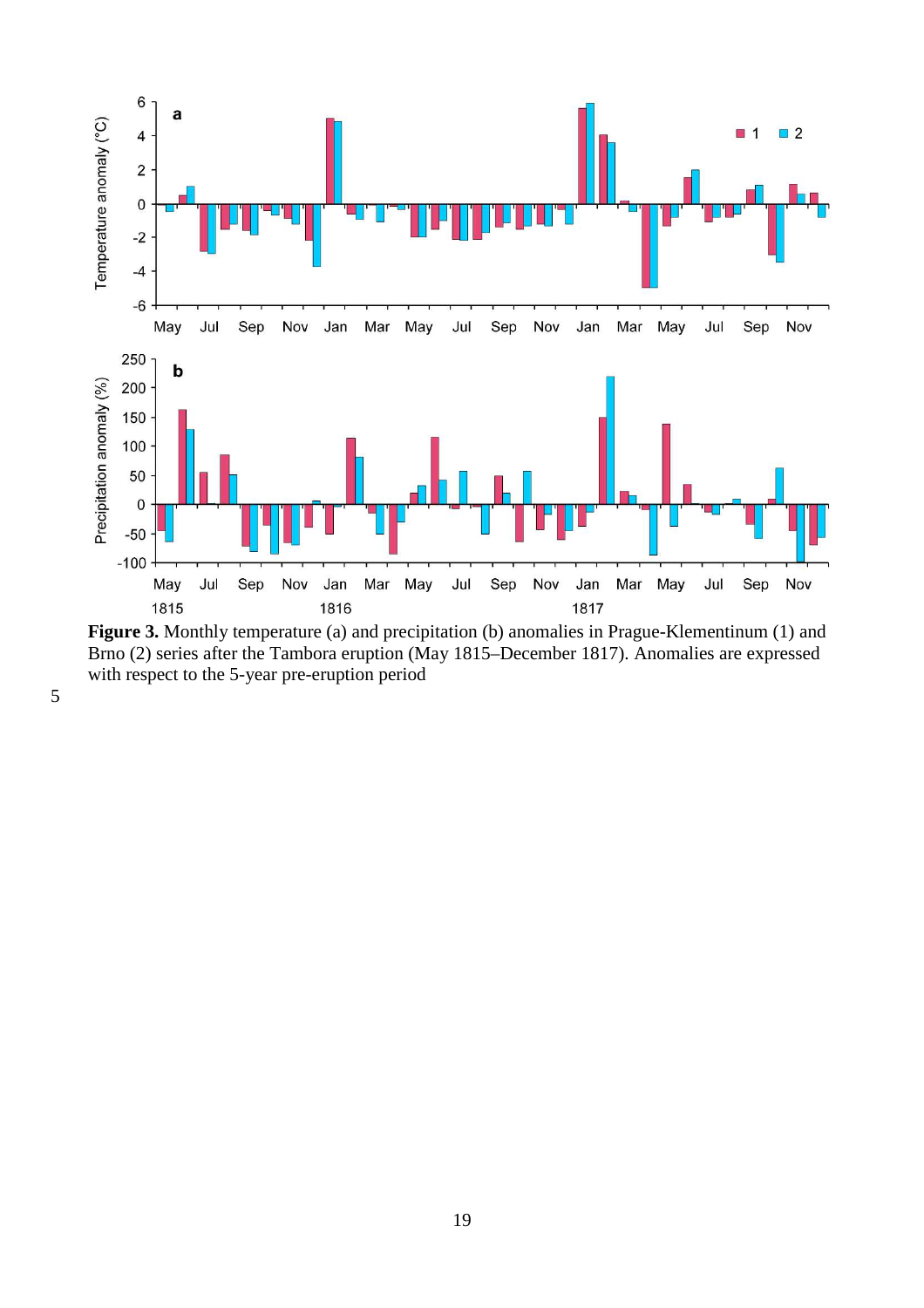

**Figure 3.** Monthly temperature (a) and precipitation (b) anomalies in Prague-Klementinum (1) and Brno (2) series after the Tambora eruption (May 1815–December 1817). Anomalies are expressed with respect to the 5-year pre-eruption period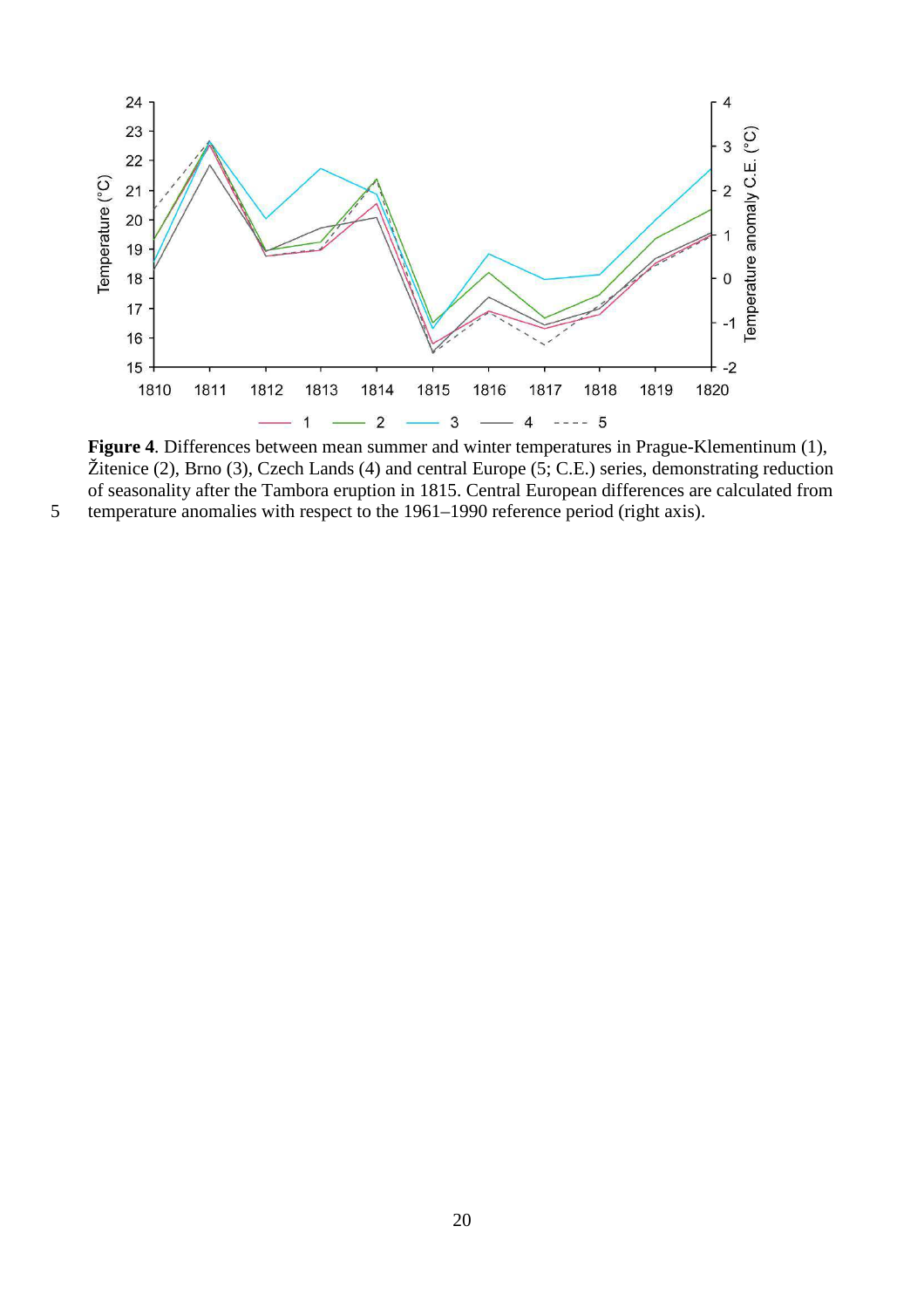

**Figure 4**. Differences between mean summer and winter temperatures in Prague-Klementinum (1), Žitenice (2), Brno (3), Czech Lands (4) and central Europe (5; C.E.) series, demonstrating reduction of seasonality after the Tambora eruption in 1815. Central European differences are calculated from 5 temperature anomalies with respect to the 1961–1990 reference period (right axis).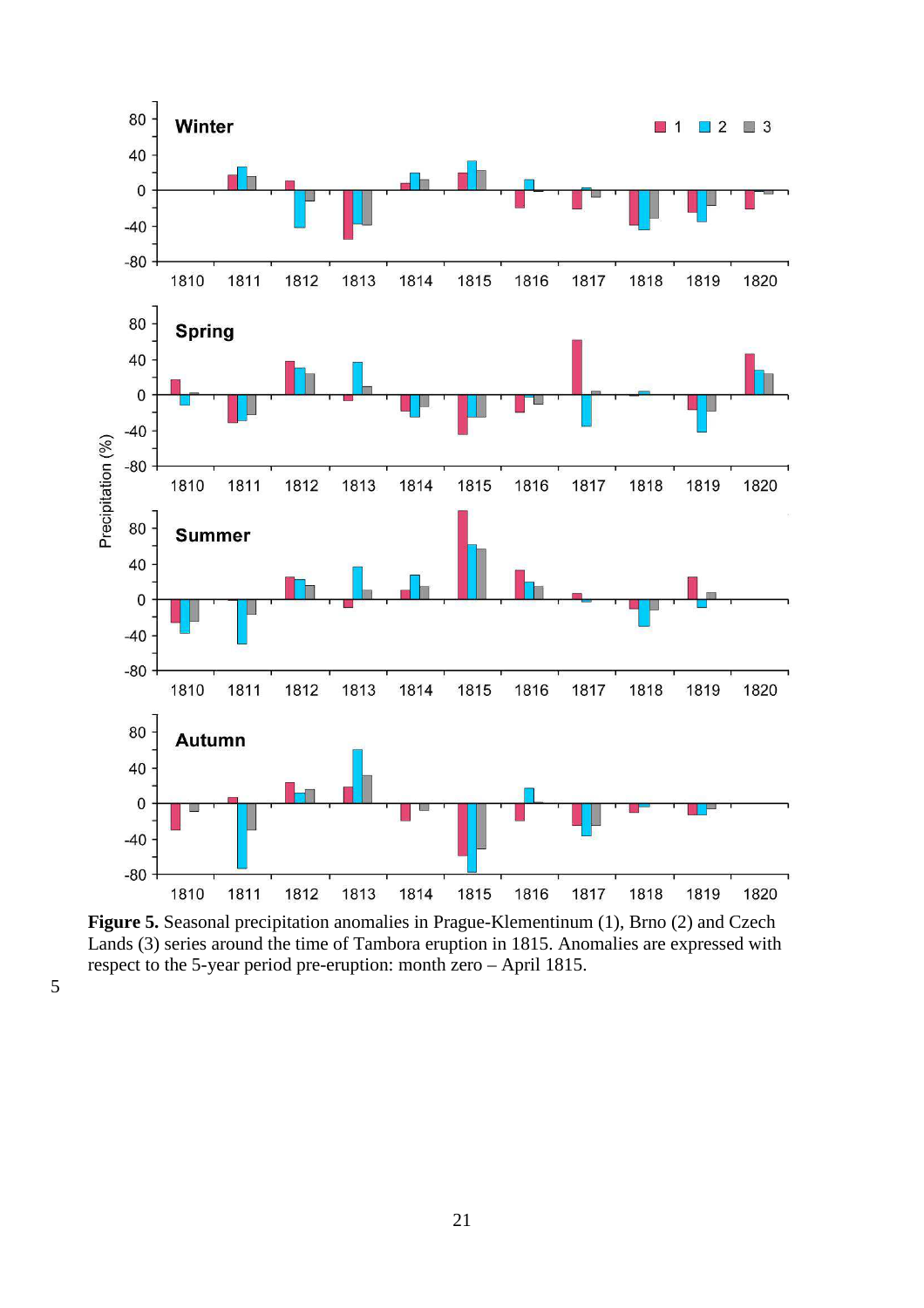

**Figure 5.** Seasonal precipitation anomalies in Prague-Klementinum (1), Brno (2) and Czech Lands (3) series around the time of Tambora eruption in 1815. Anomalies are expressed with respect to the 5-year period pre-eruption: month zero – April 1815.

5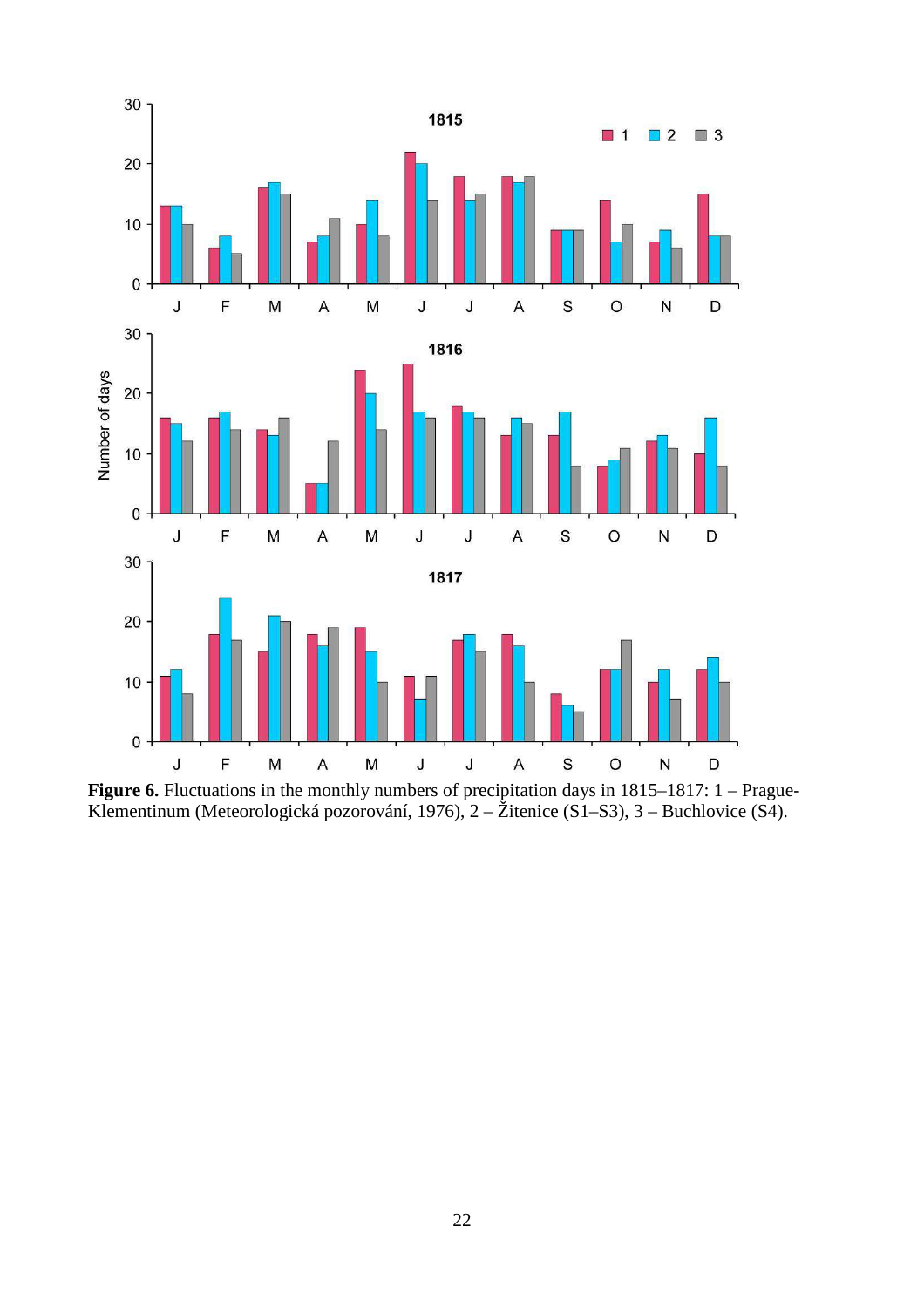

**Figure 6.** Fluctuations in the monthly numbers of precipitation days in 1815–1817: 1 – Prague-Klementinum (Meteorologická pozorování, 1976), 2 – Žitenice (S1–S3), 3 – Buchlovice (S4).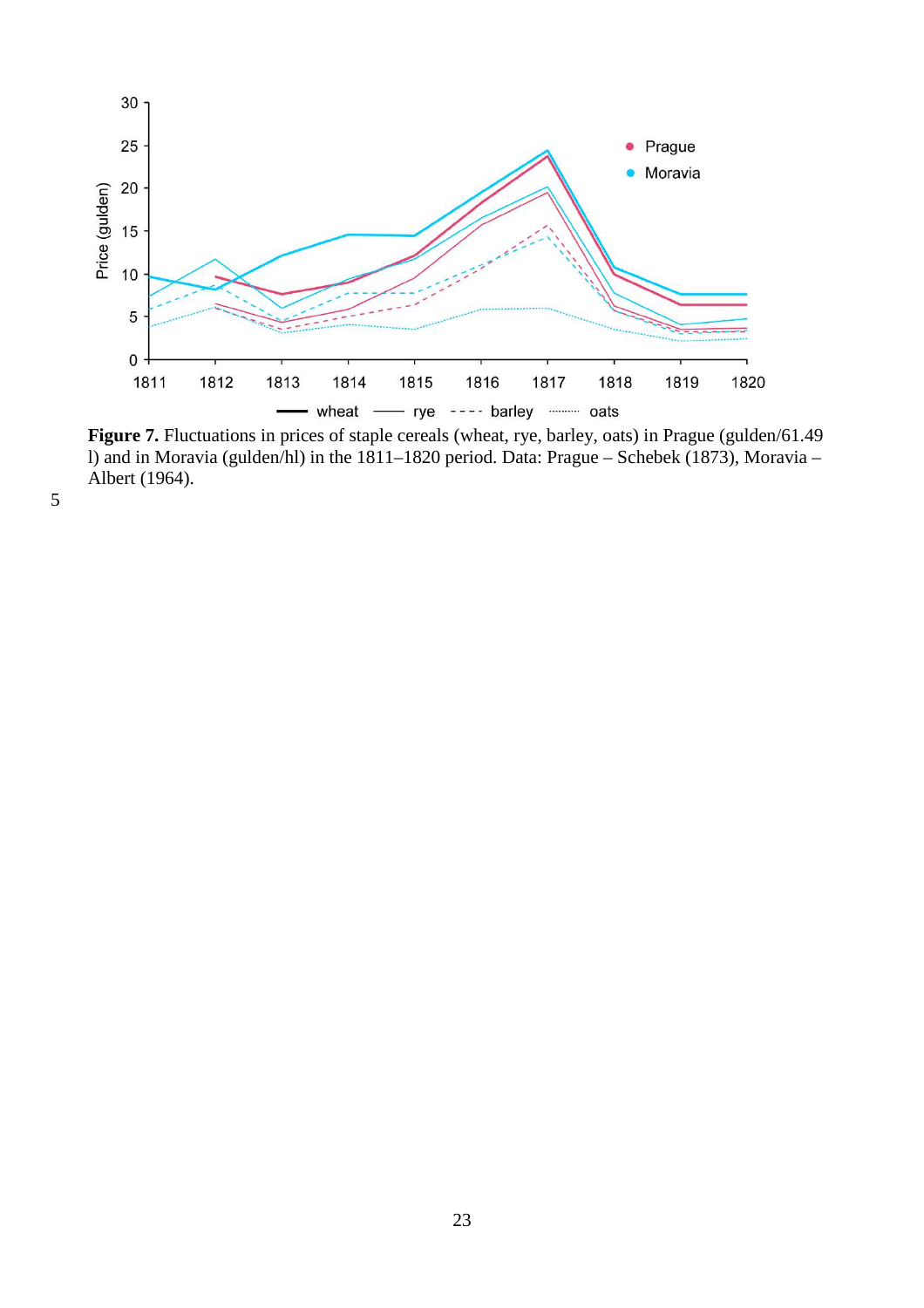

Figure 7. Fluctuations in prices of staple cereals (wheat, rye, barley, oats) in Prague (gulden/61.49 l) and in Moravia (gulden/hl) in the 1811–1820 period. Data: Prague – Schebek (1873), Moravia – Albert (1964).

5